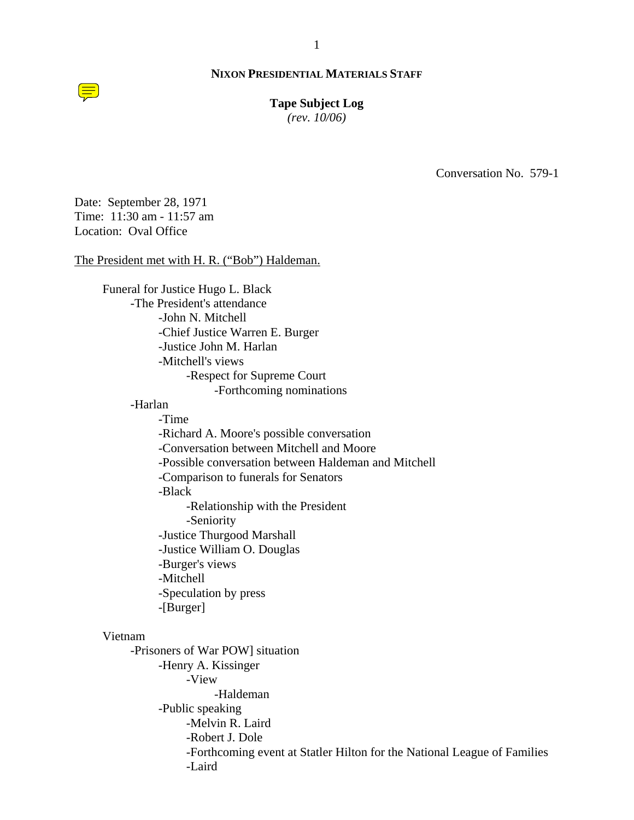#### 1

## **NIXON PRESIDENTIAL MATERIALS STAFF**

# **Tape Subject Log**

*(rev. 10/06)*

Conversation No. 579-1

Date: September 28, 1971 Time: 11:30 am - 11:57 am Location: Oval Office

# The President met with H. R. ("Bob") Haldeman.

Funeral for Justice Hugo L. Black -The President's attendance -John N. Mitchell -Chief Justice Warren E. Burger -Justice John M. Harlan -Mitchell's views -Respect for Supreme Court -Forthcoming nominations

#### -Harlan

 -Time -Richard A. Moore's possible conversation -Conversation between Mitchell and Moore -Possible conversation between Haldeman and Mitchell -Comparison to funerals for Senators -Black -Relationship with the President -Seniority -Justice Thurgood Marshall -Justice William O. Douglas -Burger's views -Mitchell -Speculation by press -[Burger]

#### Vietnam

-Prisoners of War POW] situation -Henry A. Kissinger -View -Haldeman -Public speaking -Melvin R. Laird -Robert J. Dole -Forthcoming event at Statler Hilton for the National League of Families -Laird

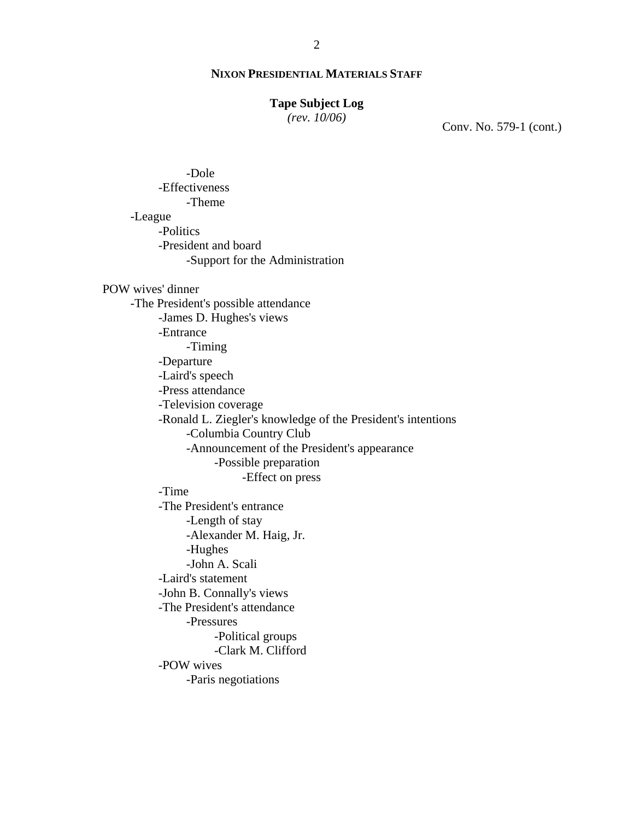# **Tape Subject Log**

*(rev. 10/06)*

Conv. No. 579-1 (cont.)

 -Dole -Effectiveness -Theme -League -Politics -President and board -Support for the Administration

# POW wives' dinner

-The President's possible attendance -James D. Hughes's views -Entrance -Timing -Departure -Laird's speech -Press attendance -Television coverage -Ronald L. Ziegler's knowledge of the President's intentions -Columbia Country Club -Announcement of the President's appearance -Possible preparation -Effect on press -Time -The President's entrance -Length of stay -Alexander M. Haig, Jr. -Hughes -John A. Scali -Laird's statement -John B. Connally's views -The President's attendance -Pressures -Political groups -Clark M. Clifford

-POW wives

-Paris negotiations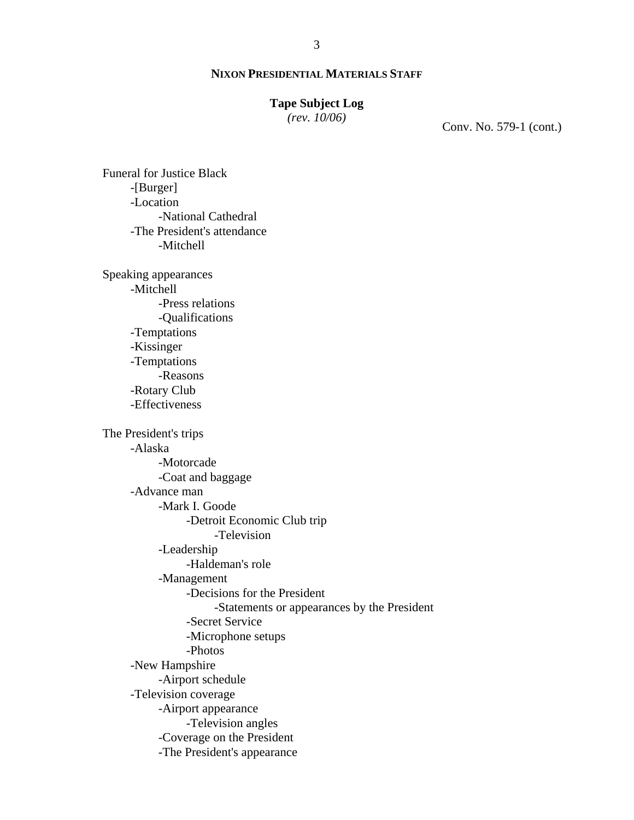# **Tape Subject Log**

*(rev. 10/06)*

Conv. No. 579-1 (cont.)

-[Burger] -Location -National Cathedral -The President's attendance -Mitchell Speaking appearances -Mitchell -Press relations -Qualifications -Temptations -Kissinger -Temptations -Reasons -Rotary Club -Effectiveness The President's trips -Alaska -Motorcade -Coat and baggage -Advance man -Mark I. Goode -Detroit Economic Club trip -Television -Leadership -Haldeman's role -Management -Decisions for the President -Statements or appearances by the President -Secret Service -Microphone setups -Photos

Funeral for Justice Black

-New Hampshire -Airport schedule

-Television coverage

-Airport appearance

-Television angles

-Coverage on the President

-The President's appearance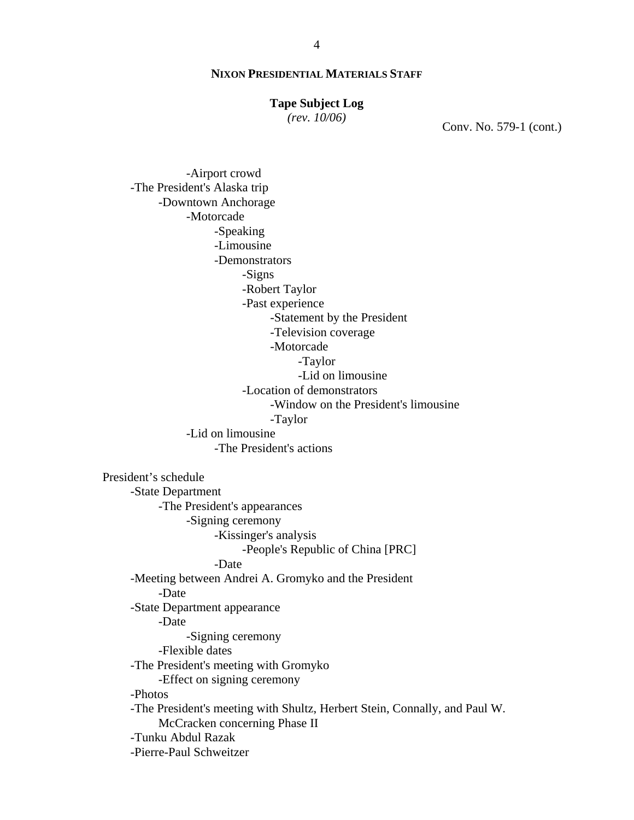#### **Tape Subject Log**

*(rev. 10/06)*

Conv. No. 579-1 (cont.)

-Airport crowd -The President's Alaska trip -Downtown Anchorage -Motorcade -Speaking -Limousine -Demonstrators -Signs -Robert Taylor -Past experience -Statement by the President -Television coverage -Motorcade -Taylor -Lid on limousine -Location of demonstrators -Window on the President's limousine -Taylor -Lid on limousine -The President's actions President's schedule -State Department -The President's appearances -Signing ceremony -Kissinger's analysis -People's Republic of China [PRC] -Date -Meeting between Andrei A. Gromyko and the President -Date -State Department appearance -Date -Signing ceremony -Flexible dates -The President's meeting with Gromyko -Effect on signing ceremony -Photos -The President's meeting with Shultz, Herbert Stein, Connally, and Paul W. McCracken concerning Phase II -Tunku Abdul Razak -Pierre-Paul Schweitzer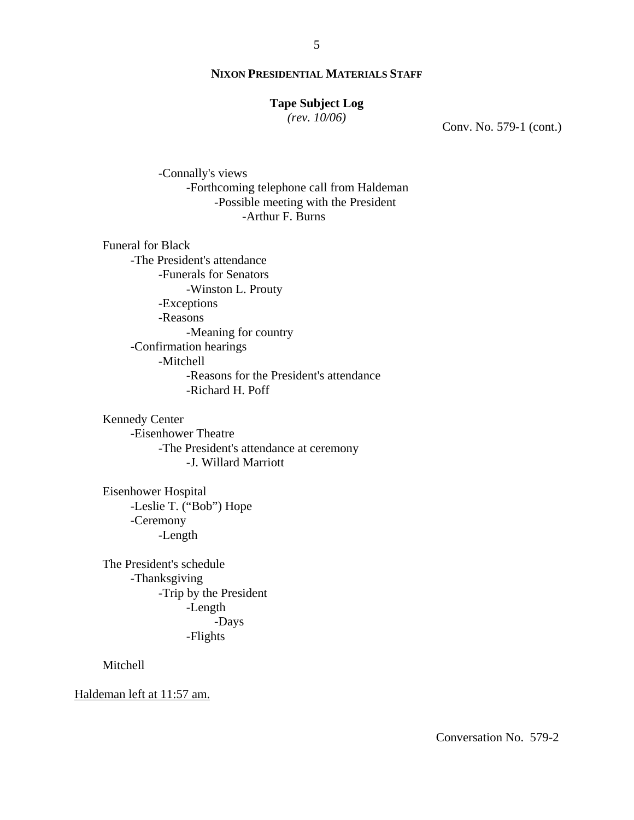# **Tape Subject Log**

*(rev. 10/06)*

Conv. No. 579-1 (cont.)

-Connally's views -Forthcoming telephone call from Haldeman -Possible meeting with the President -Arthur F. Burns

Funeral for Black -The President's attendance -Funerals for Senators -Winston L. Prouty -Exceptions -Reasons -Meaning for country -Confirmation hearings -Mitchell -Reasons for the President's attendance -Richard H. Poff

Kennedy Center -Eisenhower Theatre -The President's attendance at ceremony -J. Willard Marriott

Eisenhower Hospital -Leslie T. ("Bob") Hope -Ceremony -Length

The President's schedule -Thanksgiving -Trip by the President -Length -Days -Flights

Mitchell

Haldeman left at 11:57 am.

Conversation No. 579-2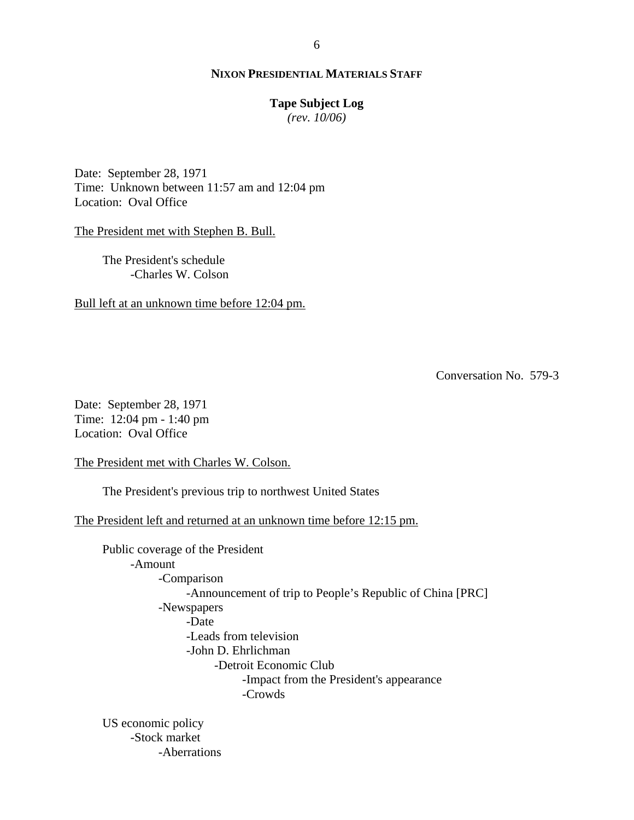#### **Tape Subject Log**

*(rev. 10/06)*

Date: September 28, 1971 Time: Unknown between 11:57 am and 12:04 pm Location: Oval Office

The President met with Stephen B. Bull.

 The President's schedule -Charles W. Colson

Bull left at an unknown time before 12:04 pm.

Conversation No. 579-3

Date: September 28, 1971 Time: 12:04 pm - 1:40 pm Location: Oval Office

The President met with Charles W. Colson.

The President's previous trip to northwest United States

The President left and returned at an unknown time before 12:15 pm.

Public coverage of the President -Amount -Comparison -Announcement of trip to People's Republic of China [PRC] -Newspapers -Date -Leads from television -John D. Ehrlichman -Detroit Economic Club -Impact from the President's appearance -Crowds US economic policy

-Stock market -Aberrations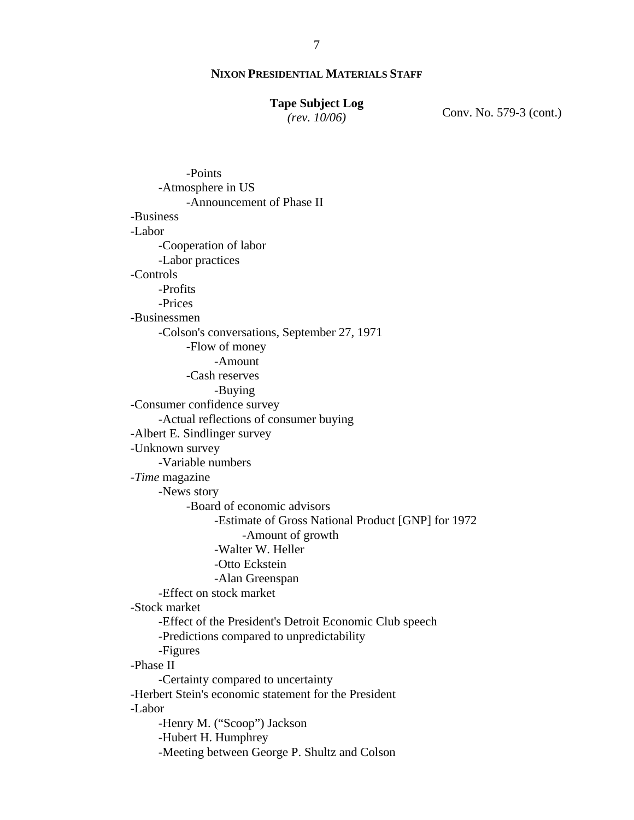#### **Tape Subject Log**

*(rev. 10/06)*

Conv. No. 579-3 (cont.)

-Points -Atmosphere in US -Announcement of Phase II -Business -Labor -Cooperation of labor -Labor practices -Controls -Profits -Prices -Businessmen -Colson's conversations, September 27, 1971 -Flow of money -Amount -Cash reserves -Buying -Consumer confidence survey -Actual reflections of consumer buying -Albert E. Sindlinger survey -Unknown survey -Variable numbers -*Time* magazine -News story -Board of economic advisors -Estimate of Gross National Product [GNP] for 1972 -Amount of growth -Walter W. Heller -Otto Eckstein -Alan Greenspan -Effect on stock market -Stock market -Effect of the President's Detroit Economic Club speech -Predictions compared to unpredictability -Figures -Phase II -Certainty compared to uncertainty -Herbert Stein's economic statement for the President -Labor -Henry M. ("Scoop") Jackson -Hubert H. Humphrey -Meeting between George P. Shultz and Colson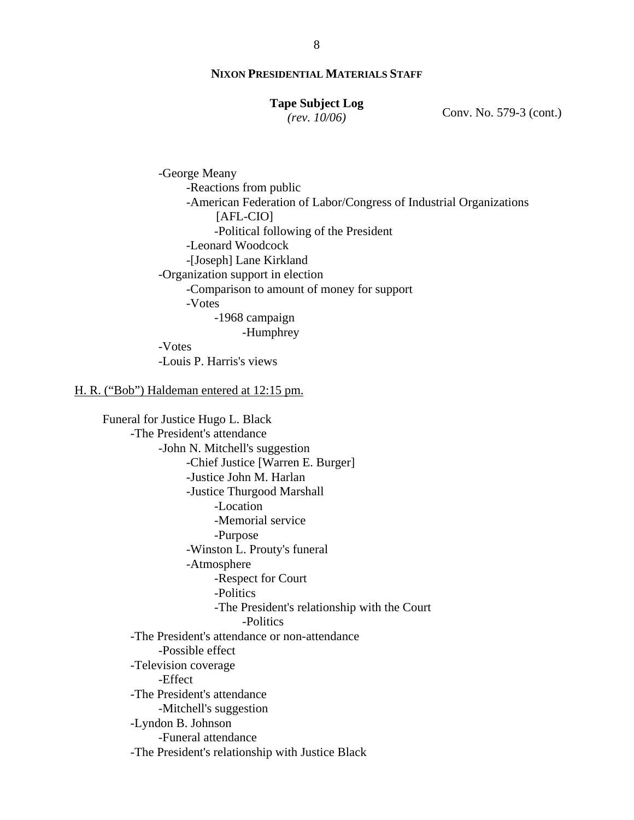#### **Tape Subject Log** *(rev. 10/06)*

Conv. No. 579-3 (cont.)

-George Meany -Reactions from public -American Federation of Labor/Congress of Industrial Organizations [AFL-CIO] -Political following of the President -Leonard Woodcock -[Joseph] Lane Kirkland -Organization support in election -Comparison to amount of money for support -Votes -1968 campaign -Humphrey -Votes -Louis P. Harris's views

#### H. R. ("Bob") Haldeman entered at 12:15 pm.

Funeral for Justice Hugo L. Black -The President's attendance -John N. Mitchell's suggestion -Chief Justice [Warren E. Burger] -Justice John M. Harlan -Justice Thurgood Marshall -Location -Memorial service -Purpose -Winston L. Prouty's funeral -Atmosphere -Respect for Court -Politics -The President's relationship with the Court -Politics -The President's attendance or non-attendance -Possible effect -Television coverage -Effect -The President's attendance -Mitchell's suggestion -Lyndon B. Johnson -Funeral attendance -The President's relationship with Justice Black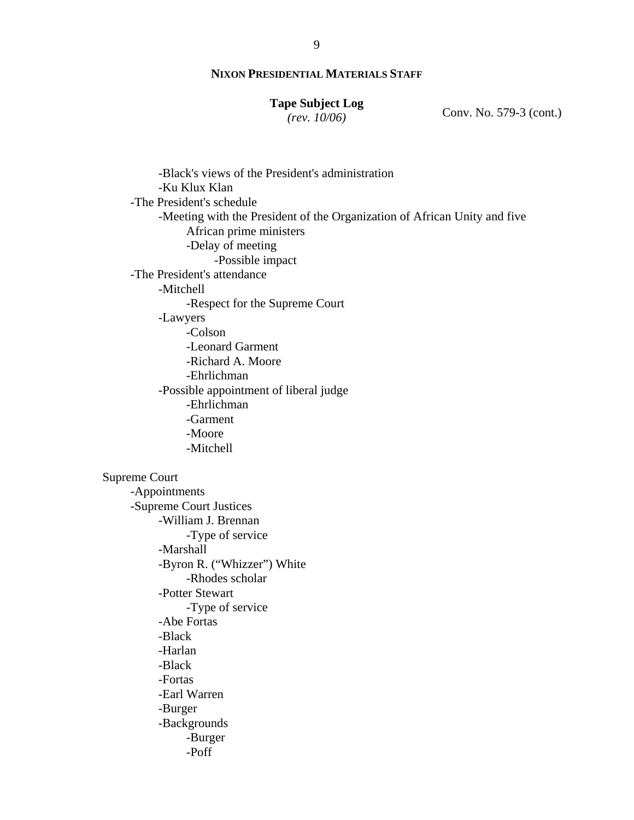# **Tape Subject Log**

*(rev. 10/06)*

Conv. No. 579-3 (cont.)

-Black's views of the President's administration -Ku Klux Klan -The President's schedule -Meeting with the President of the Organization of African Unity and five African prime ministers -Delay of meeting -Possible impact -The President's attendance -Mitchell -Respect for the Supreme Court -Lawyers -Colson -Leonard Garment -Richard A. Moore -Ehrlichman -Possible appointment of liberal judge -Ehrlichman -Garment -Moore -Mitchell Supreme Court -Appointments -Supreme Court Justices -William J. Brennan -Type of service -Marshall -Byron R. ("Whizzer") White -Rhodes scholar -Potter Stewart -Type of service -Abe Fortas -Black -Harlan -Black -Fortas -Earl Warren -Burger -Backgrounds -Burger -Poff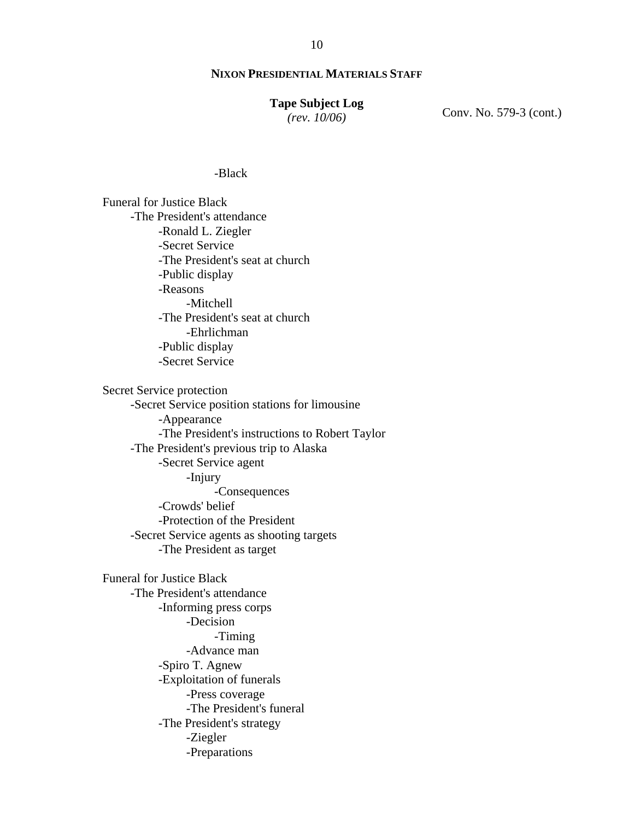#### **Tape Subject Log**

*(rev. 10/06)*

Conv. No. 579-3 (cont.)

#### -Black

Funeral for Justice Black -The President's attendance -Ronald L. Ziegler -Secret Service -The President's seat at church -Public display -Reasons -Mitchell -The President's seat at church -Ehrlichman -Public display -Secret Service

Secret Service protection -Secret Service position stations for limousine -Appearance -The President's instructions to Robert Taylor -The President's previous trip to Alaska -Secret Service agent -Injury -Consequences -Crowds' belief -Protection of the President -Secret Service agents as shooting targets -The President as target

Funeral for Justice Black -The President's attendance -Informing press corps -Decision -Timing -Advance man -Spiro T. Agnew -Exploitation of funerals -Press coverage -The President's funeral -The President's strategy -Ziegler -Preparations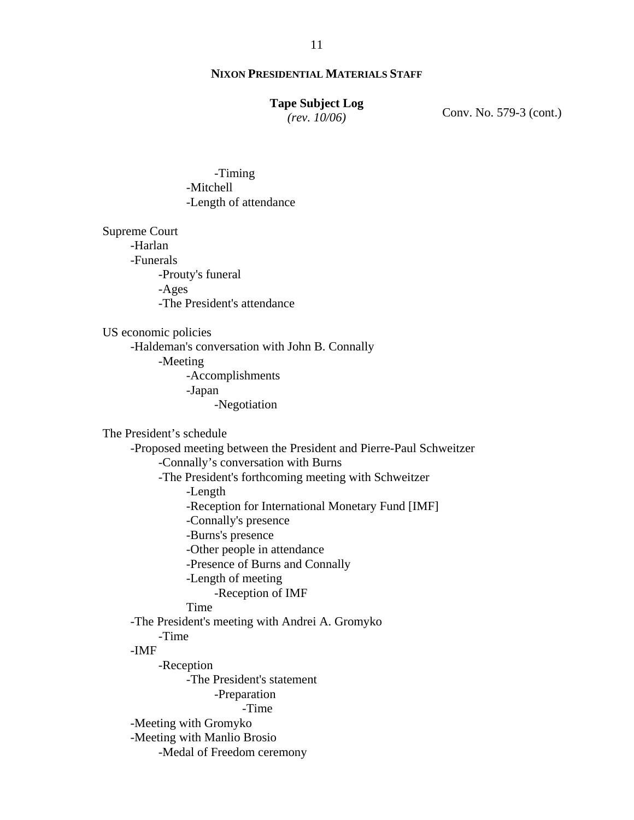#### **Tape Subject Log**

*(rev. 10/06)*

Conv. No. 579-3 (cont.)

 -Timing -Mitchell -Length of attendance

Supreme Court -Harlan -Funerals -Prouty's funeral -Ages -The President's attendance

US economic policies

-Haldeman's conversation with John B. Connally

-Meeting

-Accomplishments -Japan

-Negotiation

The President's schedule

-Proposed meeting between the President and Pierre-Paul Schweitzer -Connally's conversation with Burns -The President's forthcoming meeting with Schweitzer -Length -Reception for International Monetary Fund [IMF] -Connally's presence -Burns's presence -Other people in attendance -Presence of Burns and Connally -Length of meeting -Reception of IMF Time -The President's meeting with Andrei A. Gromyko -Time -IMF -Reception -The President's statement -Preparation -Time -Meeting with Gromyko -Meeting with Manlio Brosio -Medal of Freedom ceremony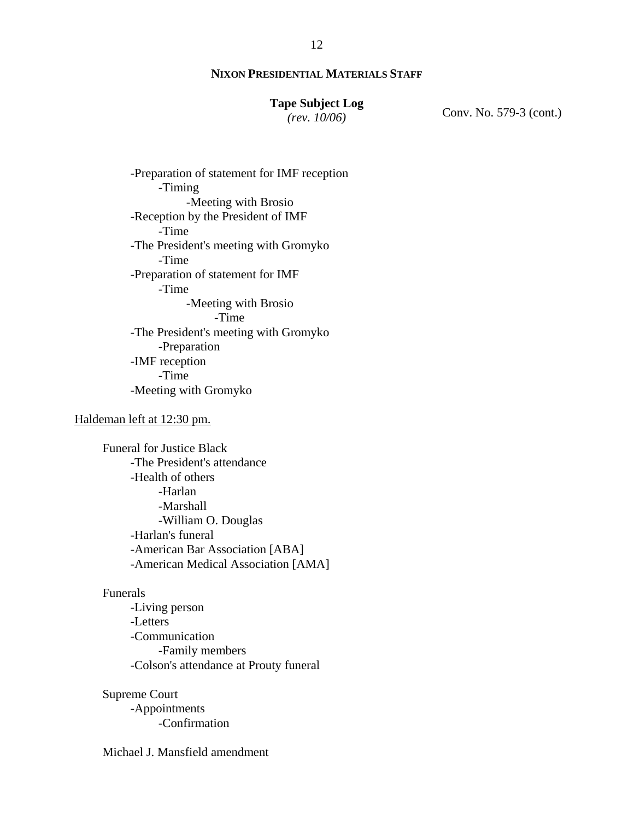# **Tape Subject Log**

*(rev. 10/06)*

Conv. No. 579-3 (cont.)

-Preparation of statement for IMF reception -Timing -Meeting with Brosio -Reception by the President of IMF -Time -The President's meeting with Gromyko -Time -Preparation of statement for IMF -Time -Meeting with Brosio -Time -The President's meeting with Gromyko -Preparation -IMF reception -Time -Meeting with Gromyko

#### Haldeman left at 12:30 pm.

Funeral for Justice Black -The President's attendance -Health of others -Harlan -Marshall -William O. Douglas -Harlan's funeral -American Bar Association [ABA] -American Medical Association [AMA]

#### Funerals

 -Living person -Letters -Communication -Family members -Colson's attendance at Prouty funeral

# Supreme Court

-Appointments -Confirmation

# Michael J. Mansfield amendment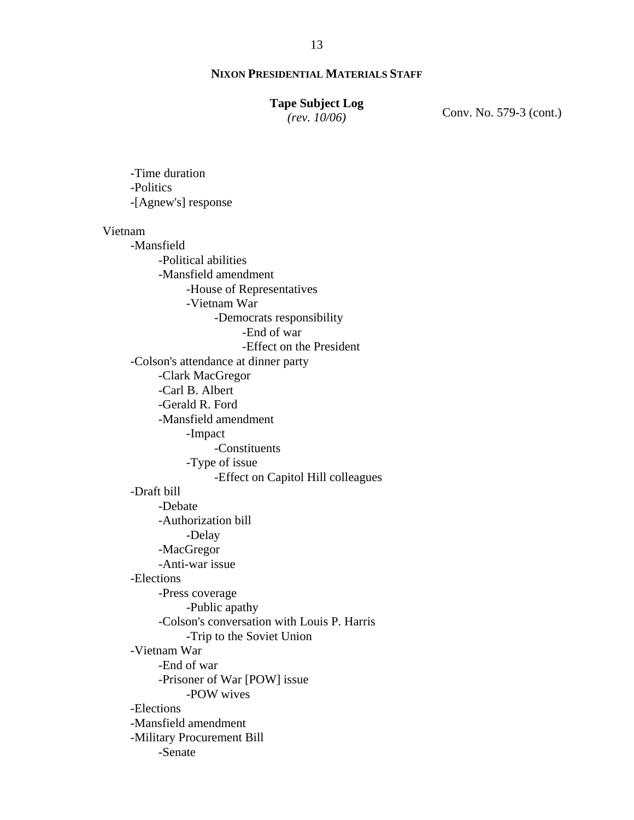#### **Tape Subject Log**

*(rev. 10/06)*

Conv. No. 579-3 (cont.)

-Time duration -Politics -[Agnew's] response Vietnam -Mansfield -Political abilities -Mansfield amendment -House of Representatives -Vietnam War -Democrats responsibility -End of war -Effect on the President -Colson's attendance at dinner party -Clark MacGregor -Carl B. Albert -Gerald R. Ford -Mansfield amendment -Impact -Constituents -Type of issue -Effect on Capitol Hill colleagues -Draft bill -Debate -Authorization bill -Delay -MacGregor -Anti-war issue -Elections -Press coverage -Public apathy -Colson's conversation with Louis P. Harris -Trip to the Soviet Union -Vietnam War -End of war -Prisoner of War [POW] issue -POW wives -Elections -Mansfield amendment -Military Procurement Bill -Senate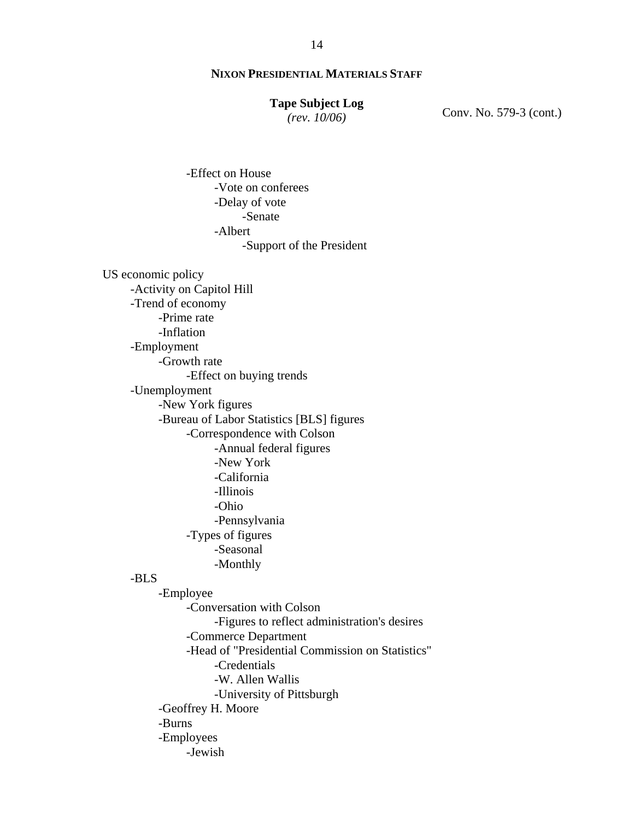## **Tape Subject Log**

*(rev. 10/06)*

Conv. No. 579-3 (cont.)

-Effect on House -Vote on conferees -Delay of vote -Senate -Albert -Support of the President US economic policy -Activity on Capitol Hill -Trend of economy -Prime rate -Inflation -Employment -Growth rate -Effect on buying trends -Unemployment -New York figures -Bureau of Labor Statistics [BLS] figures -Correspondence with Colson -Annual federal figures -New York -California -Illinois -Ohio -Pennsylvania -Types of figures -Seasonal -Monthly -BLS -Employee -Conversation with Colson -Figures to reflect administration's desires -Commerce Department -Head of "Presidential Commission on Statistics" -Credentials -W. Allen Wallis -University of Pittsburgh -Geoffrey H. Moore -Burns

-Employees

-Jewish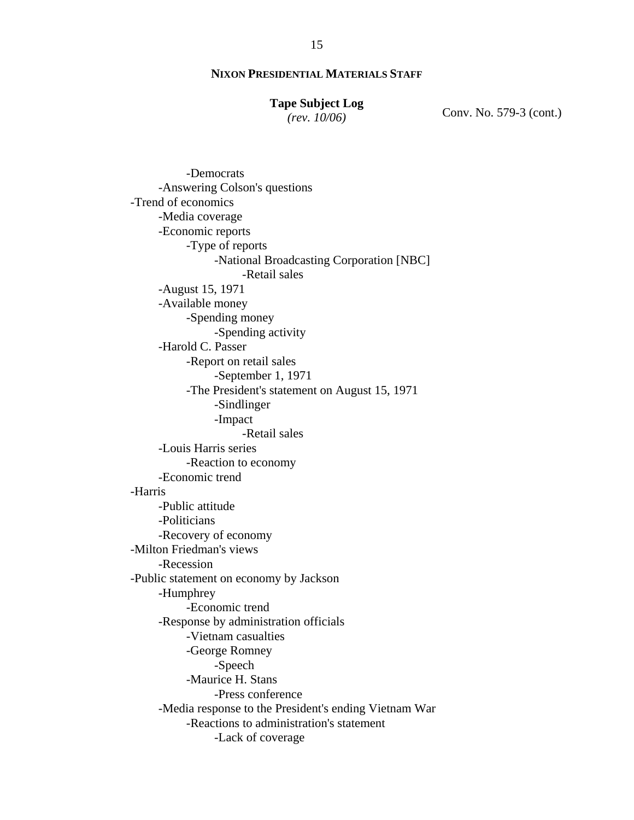#### **Tape Subject Log**

*(rev. 10/06)*

Conv. No. 579-3 (cont.)

-Democrats -Answering Colson's questions -Trend of economics -Media coverage -Economic reports -Type of reports -National Broadcasting Corporation [NBC] -Retail sales -August 15, 1971 -Available money -Spending money -Spending activity -Harold C. Passer -Report on retail sales -September 1, 1971 -The President's statement on August 15, 1971 -Sindlinger -Impact -Retail sales -Louis Harris series -Reaction to economy -Economic trend -Harris -Public attitude -Politicians -Recovery of economy -Milton Friedman's views -Recession -Public statement on economy by Jackson -Humphrey -Economic trend -Response by administration officials -Vietnam casualties -George Romney -Speech -Maurice H. Stans -Press conference -Media response to the President's ending Vietnam War -Reactions to administration's statement -Lack of coverage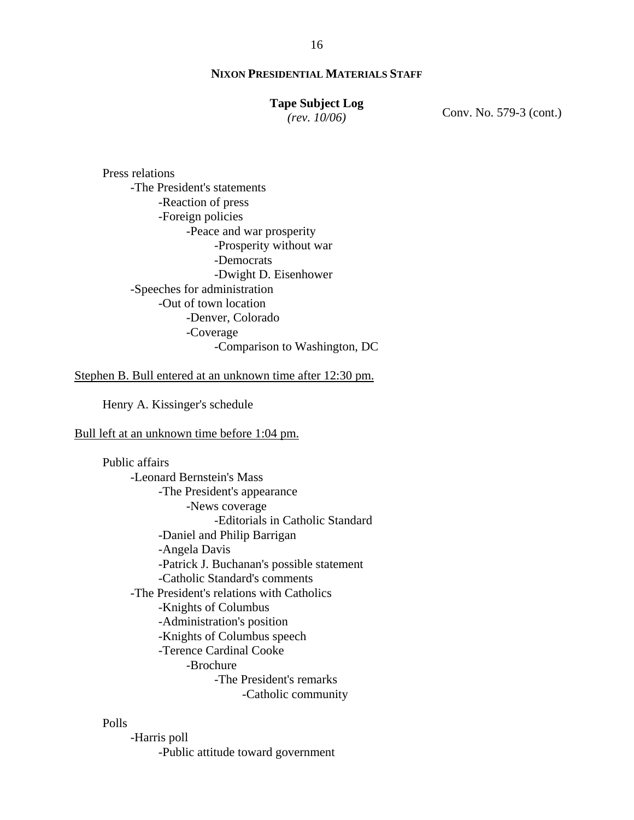#### **Tape Subject Log**

*(rev. 10/06)*

Conv. No. 579-3 (cont.)

Press relations -The President's statements -Reaction of press -Foreign policies -Peace and war prosperity -Prosperity without war -Democrats -Dwight D. Eisenhower -Speeches for administration -Out of town location -Denver, Colorado -Coverage -Comparison to Washington, DC

Stephen B. Bull entered at an unknown time after 12:30 pm.

Henry A. Kissinger's schedule

Bull left at an unknown time before 1:04 pm.

 Public affairs -Leonard Bernstein's Mass -The President's appearance -News coverage -Editorials in Catholic Standard -Daniel and Philip Barrigan -Angela Davis -Patrick J. Buchanan's possible statement -Catholic Standard's comments -The President's relations with Catholics -Knights of Columbus -Administration's position -Knights of Columbus speech -Terence Cardinal Cooke -Brochure -The President's remarks -Catholic community

# Polls

-Harris poll -Public attitude toward government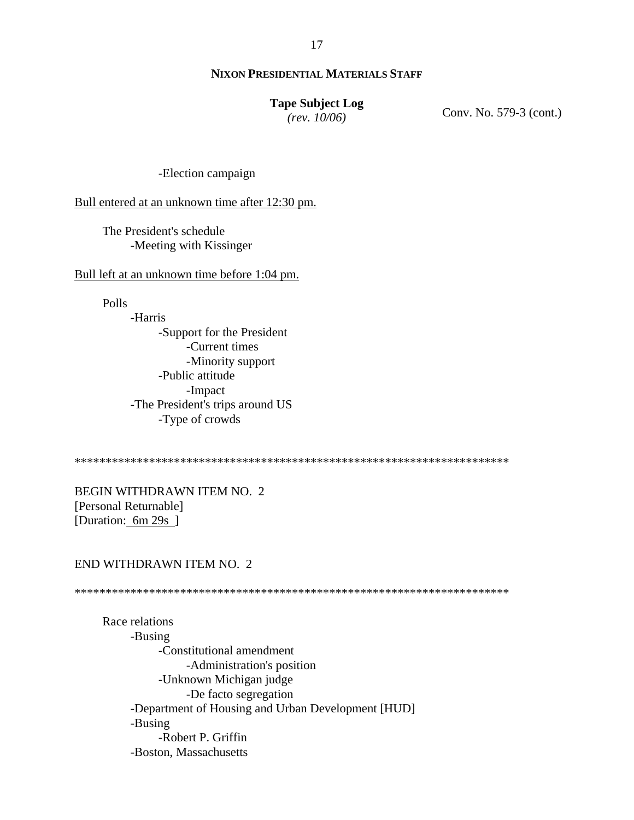17

# **NIXON PRESIDENTIAL MATERIALS STAFF**

#### **Tape Subject Log**

*(rev. 10/06)*

Conv. No. 579-3 (cont.)

-Election campaign

Bull entered at an unknown time after 12:30 pm.

The President's schedule -Meeting with Kissinger

Bull left at an unknown time before 1:04 pm.

Polls

-Harris -Support for the President -Current times -Minority support -Public attitude -Impact -The President's trips around US -Type of crowds

\*\*\*\*\*\*\*\*\*\*\*\*\*\*\*\*\*\*\*\*\*\*\*\*\*\*\*\*\*\*\*\*\*\*\*\*\*\*\*\*\*\*\*\*\*\*\*\*\*\*\*\*\*\*\*\*\*\*\*\*\*\*\*\*\*\*\*\*\*\*

BEGIN WITHDRAWN ITEM NO. 2 [Personal Returnable] [Duration: 6m 29s ]

## END WITHDRAWN ITEM NO. 2

\*\*\*\*\*\*\*\*\*\*\*\*\*\*\*\*\*\*\*\*\*\*\*\*\*\*\*\*\*\*\*\*\*\*\*\*\*\*\*\*\*\*\*\*\*\*\*\*\*\*\*\*\*\*\*\*\*\*\*\*\*\*\*\*\*\*\*\*\*\*

Race relations -Busing -Constitutional amendment -Administration's position -Unknown Michigan judge -De facto segregation -Department of Housing and Urban Development [HUD] -Busing -Robert P. Griffin -Boston, Massachusetts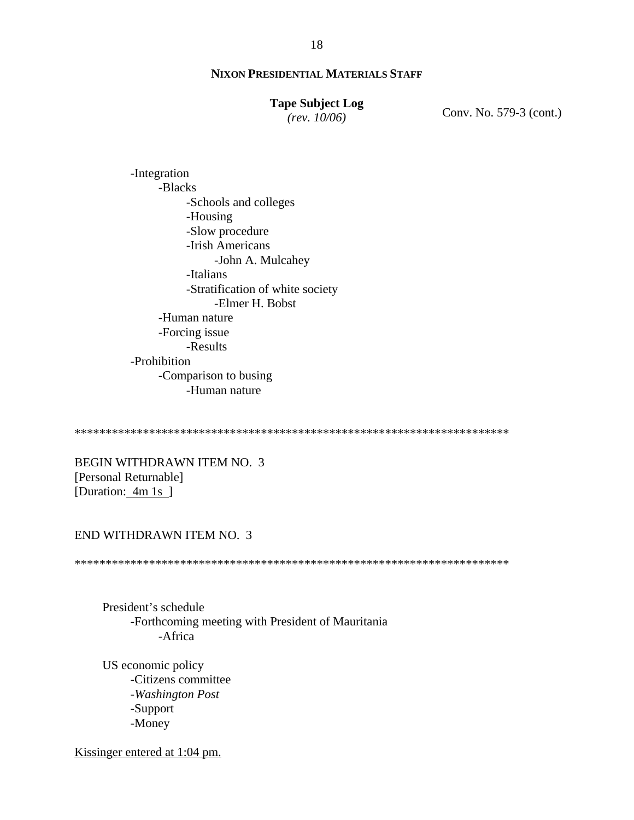# **Tape Subject Log**

*(rev. 10/06)*

Conv. No. 579-3 (cont.)

-Integration -Blacks -Schools and colleges -Housing -Slow procedure -Irish Americans -John A. Mulcahey -Italians -Stratification of white society -Elmer H. Bobst -Human nature -Forcing issue -Results -Prohibition -Comparison to busing -Human nature

\*\*\*\*\*\*\*\*\*\*\*\*\*\*\*\*\*\*\*\*\*\*\*\*\*\*\*\*\*\*\*\*\*\*\*\*\*\*\*\*\*\*\*\*\*\*\*\*\*\*\*\*\*\*\*\*\*\*\*\*\*\*\*\*\*\*\*\*\*\*

BEGIN WITHDRAWN ITEM NO. 3 [Personal Returnable] [Duration: 4m 1s ]

#### END WITHDRAWN ITEM NO. 3

\*\*\*\*\*\*\*\*\*\*\*\*\*\*\*\*\*\*\*\*\*\*\*\*\*\*\*\*\*\*\*\*\*\*\*\*\*\*\*\*\*\*\*\*\*\*\*\*\*\*\*\*\*\*\*\*\*\*\*\*\*\*\*\*\*\*\*\*\*\*

President's schedule -Forthcoming meeting with President of Mauritania -Africa

US economic policy -Citizens committee -*Washington Post* -Support -Money

Kissinger entered at 1:04 pm.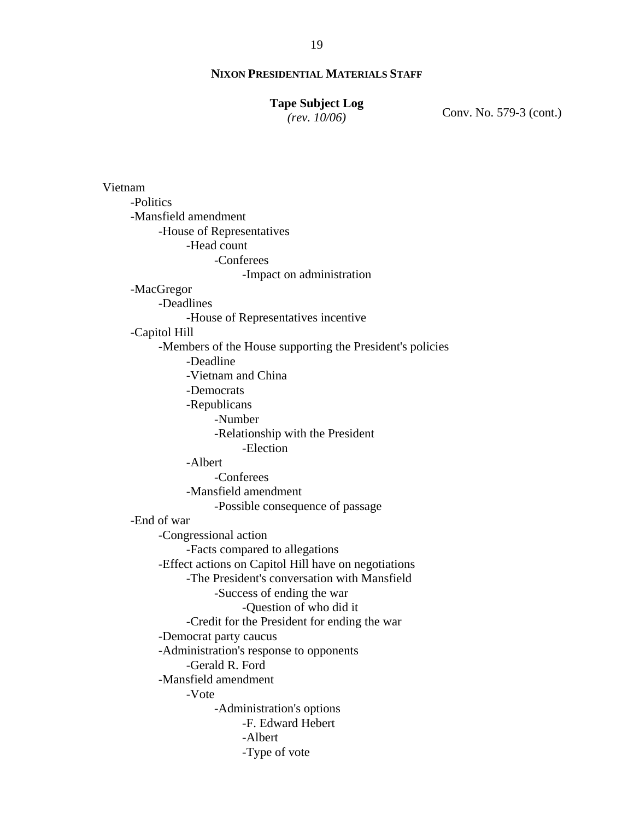#### **Tape Subject Log**

*(rev. 10/06)*

Conv. No. 579-3 (cont.)

Vietnam -Politics -Mansfield amendment -House of Representatives -Head count -Conferees -Impact on administration -MacGregor -Deadlines -House of Representatives incentive -Capitol Hill -Members of the House supporting the President's policies -Deadline -Vietnam and China -Democrats -Republicans -Number -Relationship with the President -Election -Albert -Conferees -Mansfield amendment -Possible consequence of passage -End of war -Congressional action -Facts compared to allegations -Effect actions on Capitol Hill have on negotiations -The President's conversation with Mansfield -Success of ending the war -Question of who did it -Credit for the President for ending the war -Democrat party caucus -Administration's response to opponents -Gerald R. Ford -Mansfield amendment -Vote -Administration's options -F. Edward Hebert -Albert -Type of vote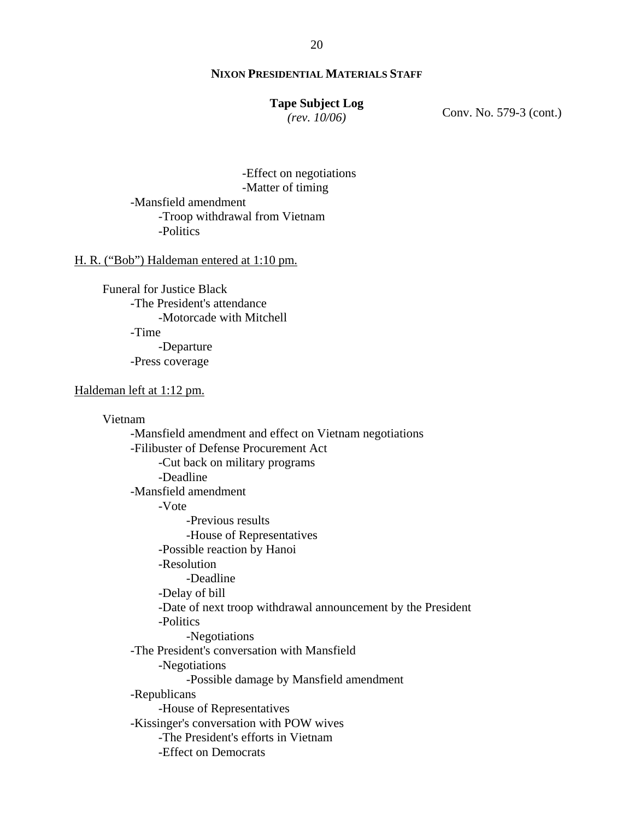#### **Tape Subject Log**

*(rev. 10/06)*

Conv. No. 579-3 (cont.)

-Effect on negotiations -Matter of timing -Mansfield amendment -Troop withdrawal from Vietnam -Politics

#### H. R. ("Bob") Haldeman entered at 1:10 pm.

Funeral for Justice Black -The President's attendance -Motorcade with Mitchell -Time -Departure -Press coverage

Haldeman left at 1:12 pm.

Vietnam -Mansfield amendment and effect on Vietnam negotiations -Filibuster of Defense Procurement Act -Cut back on military programs -Deadline -Mansfield amendment -Vote -Previous results -House of Representatives -Possible reaction by Hanoi -Resolution -Deadline -Delay of bill -Date of next troop withdrawal announcement by the President -Politics -Negotiations -The President's conversation with Mansfield -Negotiations -Possible damage by Mansfield amendment -Republicans -House of Representatives -Kissinger's conversation with POW wives -The President's efforts in Vietnam -Effect on Democrats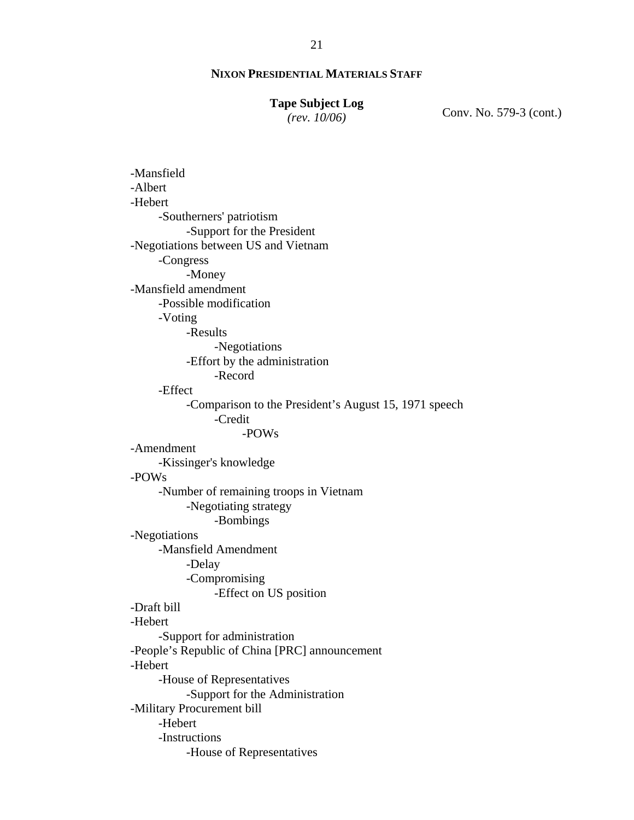#### **Tape Subject Log**

*(rev. 10/06)*

Conv. No. 579-3 (cont.)

-Mansfield -Albert -Hebert -Southerners' patriotism -Support for the President -Negotiations between US and Vietnam -Congress -Money -Mansfield amendment -Possible modification -Voting -Results -Negotiations -Effort by the administration -Record -Effect -Comparison to the President's August 15, 1971 speech -Credit -POWs -Amendment -Kissinger's knowledge -POWs -Number of remaining troops in Vietnam -Negotiating strategy -Bombings -Negotiations -Mansfield Amendment -Delay -Compromising -Effect on US position -Draft bill -Hebert -Support for administration -People's Republic of China [PRC] announcement -Hebert -House of Representatives -Support for the Administration -Military Procurement bill -Hebert -Instructions -House of Representatives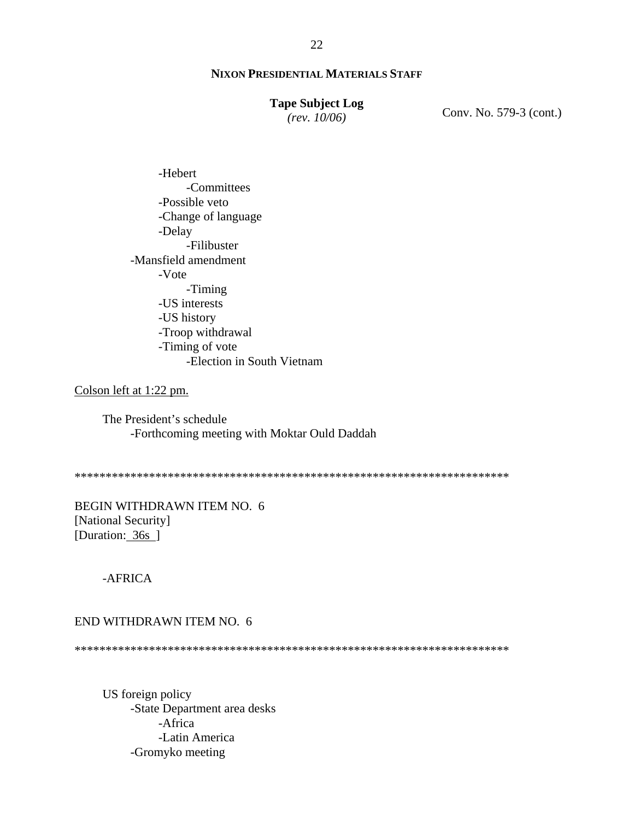# **Tape Subject Log**

*(rev. 10/06)*

Conv. No. 579-3 (cont.)

-Hebert -Committees -Possible veto -Change of language -Delay -Filibuster -Mansfield amendment -Vote -Timing -US interests -US history -Troop withdrawal -Timing of vote -Election in South Vietnam

Colson left at 1:22 pm.

 The President's schedule -Forthcoming meeting with Moktar Ould Daddah

\*\*\*\*\*\*\*\*\*\*\*\*\*\*\*\*\*\*\*\*\*\*\*\*\*\*\*\*\*\*\*\*\*\*\*\*\*\*\*\*\*\*\*\*\*\*\*\*\*\*\*\*\*\*\*\*\*\*\*\*\*\*\*\*\*\*\*\*\*\*

BEGIN WITHDRAWN ITEM NO. 6 [National Security] [Duration: 36s ]

-AFRICA

#### END WITHDRAWN ITEM NO. 6

\*\*\*\*\*\*\*\*\*\*\*\*\*\*\*\*\*\*\*\*\*\*\*\*\*\*\*\*\*\*\*\*\*\*\*\*\*\*\*\*\*\*\*\*\*\*\*\*\*\*\*\*\*\*\*\*\*\*\*\*\*\*\*\*\*\*\*\*\*\*

 US foreign policy -State Department area desks -Africa -Latin America -Gromyko meeting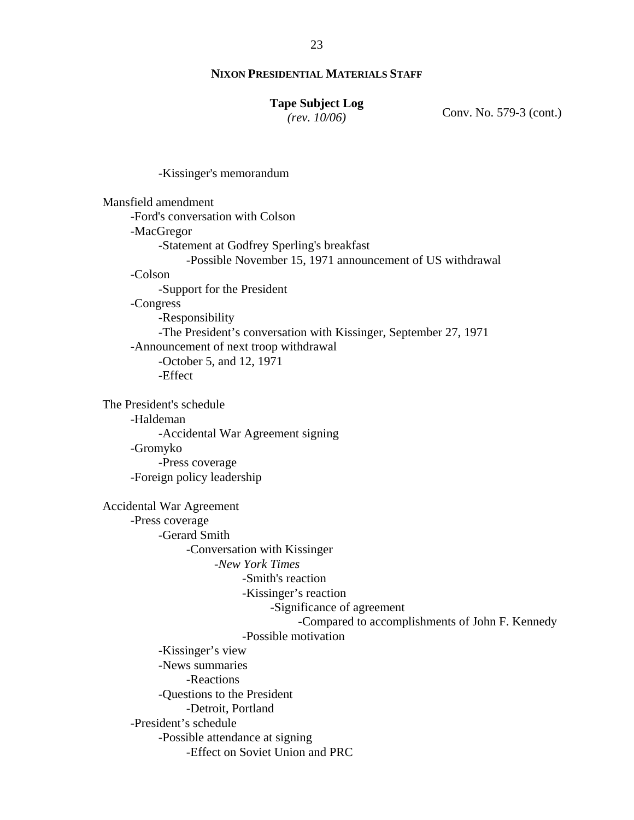#### **Tape Subject Log**

*(rev. 10/06)*

Conv. No. 579-3 (cont.)

-Kissinger's memorandum

| Mansfield amendment             |                                                                  |
|---------------------------------|------------------------------------------------------------------|
|                                 | -Ford's conversation with Colson                                 |
| -MacGregor                      |                                                                  |
|                                 | -Statement at Godfrey Sperling's breakfast                       |
|                                 | -Possible November 15, 1971 announcement of US withdrawal        |
| -Colson                         |                                                                  |
|                                 | -Support for the President                                       |
| -Congress                       |                                                                  |
|                                 | -Responsibility                                                  |
|                                 | -The President's conversation with Kissinger, September 27, 1971 |
|                                 | -Announcement of next troop withdrawal                           |
|                                 | -October 5, and 12, 1971                                         |
|                                 | -Effect                                                          |
| The President's schedule        |                                                                  |
| -Haldeman                       |                                                                  |
|                                 | -Accidental War Agreement signing                                |
| -Gromyko                        |                                                                  |
|                                 | -Press coverage                                                  |
|                                 | -Foreign policy leadership                                       |
| <b>Accidental War Agreement</b> |                                                                  |
| -Press coverage                 |                                                                  |
|                                 | -Gerard Smith                                                    |
|                                 | -Conversation with Kissinger                                     |
|                                 | -New York Times                                                  |
|                                 | -Smith's reaction                                                |
|                                 | -Kissinger's reaction                                            |
|                                 | -Significance of agreement                                       |
|                                 | -Compared to accomplishments of John F. Kennedy                  |
|                                 | -Possible motivation                                             |
|                                 | -Kissinger's view                                                |
|                                 | -News summaries                                                  |
|                                 | -Reactions                                                       |
|                                 | -Questions to the President                                      |
|                                 | -Detroit, Portland                                               |
|                                 | -President's schedule                                            |
|                                 | -Possible attendance at signing                                  |
|                                 | -Effect on Soviet Union and PRC                                  |
|                                 |                                                                  |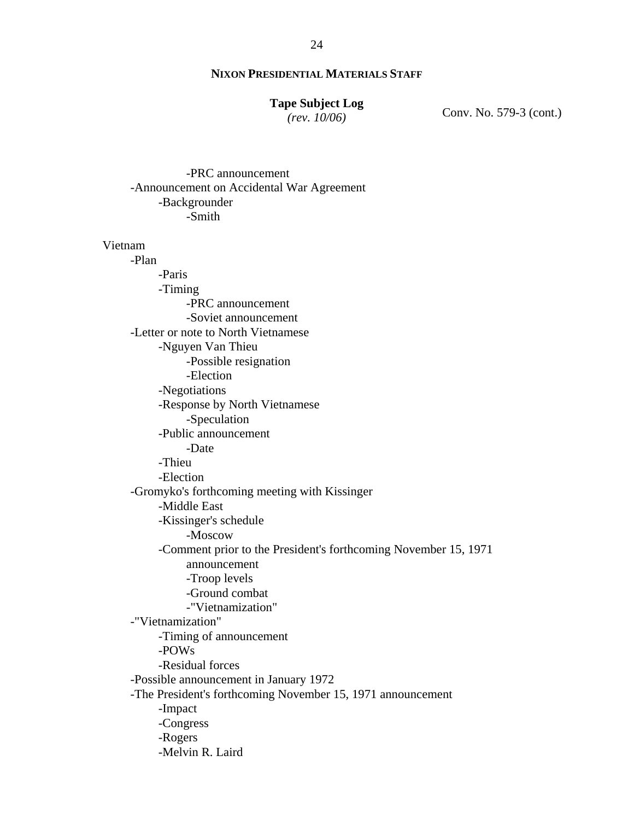#### **Tape Subject Log**

*(rev. 10/06)*

Conv. No. 579-3 (cont.)

 -PRC announcement -Announcement on Accidental War Agreement -Backgrounder -Smith

Vietnam

 -Plan -Paris -Timing -PRC announcement -Soviet announcement -Letter or note to North Vietnamese -Nguyen Van Thieu -Possible resignation -Election -Negotiations -Response by North Vietnamese -Speculation -Public announcement -Date -Thieu -Election -Gromyko's forthcoming meeting with Kissinger -Middle East -Kissinger's schedule -Moscow -Comment prior to the President's forthcoming November 15, 1971 announcement -Troop levels -Ground combat -"Vietnamization" -"Vietnamization" -Timing of announcement -POWs -Residual forces -Possible announcement in January 1972 -The President's forthcoming November 15, 1971 announcement -Impact -Congress -Rogers -Melvin R. Laird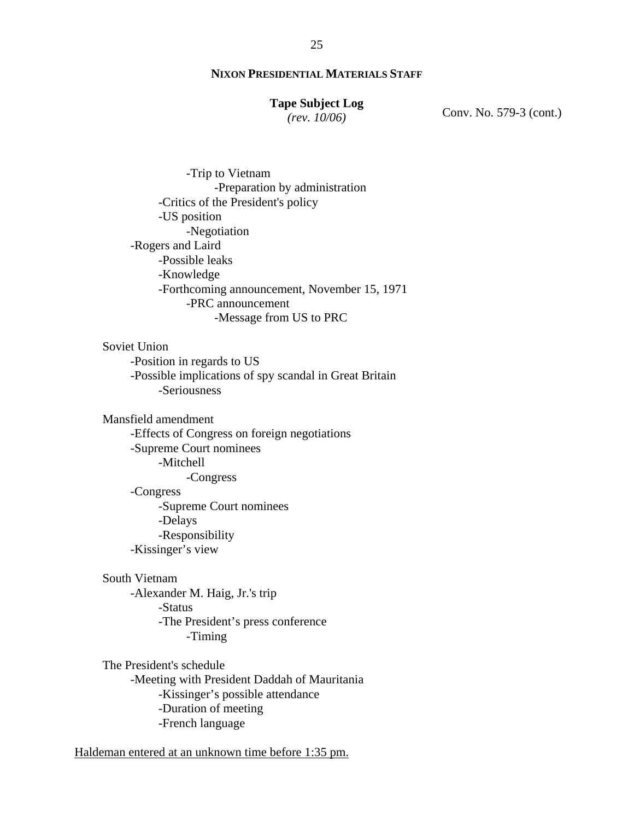#### **Tape Subject Log**

*(rev. 10/06)*

Conv. No. 579-3 (cont.)

 -Trip to Vietnam -Preparation by administration -Critics of the President's policy -US position -Negotiation -Rogers and Laird -Possible leaks -Knowledge -Forthcoming announcement, November 15, 1971 -PRC announcement -Message from US to PRC

#### Soviet Union

-Position in regards to US -Possible implications of spy scandal in Great Britain -Seriousness

Mansfield amendment

-Effects of Congress on foreign negotiations -Supreme Court nominees -Mitchell -Congress -Congress -Supreme Court nominees -Delays -Responsibility -Kissinger's view

# South Vietnam

-Alexander M. Haig, Jr.'s trip -Status -The President's press conference -Timing

The President's schedule -Meeting with President Daddah of Mauritania -Kissinger's possible attendance -Duration of meeting -French language

Haldeman entered at an unknown time before 1:35 pm.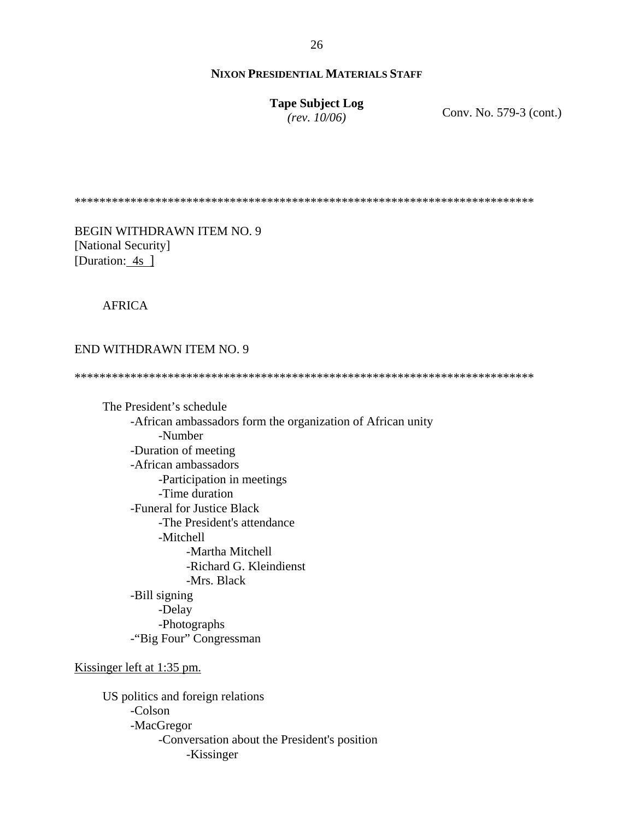**Tape Subject Log** *(rev. 10/06)*

Conv. No. 579-3 (cont.)

\*\*\*\*\*\*\*\*\*\*\*\*\*\*\*\*\*\*\*\*\*\*\*\*\*\*\*\*\*\*\*\*\*\*\*\*\*\*\*\*\*\*\*\*\*\*\*\*\*\*\*\*\*\*\*\*\*\*\*\*\*\*\*\*\*\*\*\*\*\*\*\*\*\*

BEGIN WITHDRAWN ITEM NO. 9 [National Security] [Duration: 4s ]

AFRICA

#### END WITHDRAWN ITEM NO. 9

\*\*\*\*\*\*\*\*\*\*\*\*\*\*\*\*\*\*\*\*\*\*\*\*\*\*\*\*\*\*\*\*\*\*\*\*\*\*\*\*\*\*\*\*\*\*\*\*\*\*\*\*\*\*\*\*\*\*\*\*\*\*\*\*\*\*\*\*\*\*\*\*\*\*

 The President's schedule -African ambassadors form the organization of African unity -Number -Duration of meeting -African ambassadors -Participation in meetings -Time duration -Funeral for Justice Black -The President's attendance -Mitchell -Martha Mitchell -Richard G. Kleindienst -Mrs. Black -Bill signing -Delay -Photographs -"Big Four" Congressman

Kissinger left at 1:35 pm.

US politics and foreign relations -Colson -MacGregor -Conversation about the President's position -Kissinger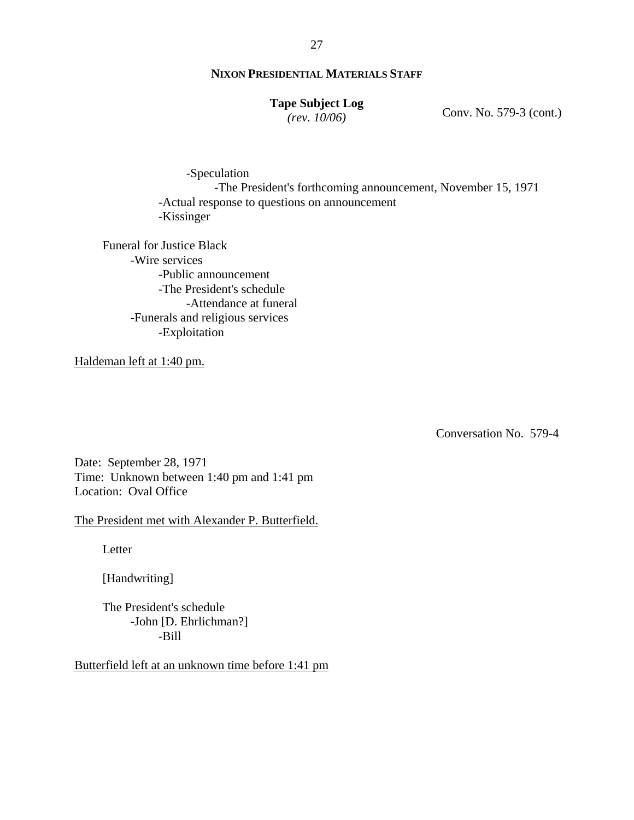# **Tape Subject Log**

*(rev. 10/06)*

Conv. No. 579-3 (cont.)

-Speculation -The President's forthcoming announcement, November 15, 1971 -Actual response to questions on announcement -Kissinger

Funeral for Justice Black -Wire services -Public announcement -The President's schedule -Attendance at funeral -Funerals and religious services -Exploitation

Haldeman left at 1:40 pm.

Conversation No. 579-4

Date: September 28, 1971 Time: Unknown between 1:40 pm and 1:41 pm Location: Oval Office

# The President met with Alexander P. Butterfield.

**Letter** 

[Handwriting]

The President's schedule -John [D. Ehrlichman?] -Bill

Butterfield left at an unknown time before 1:41 pm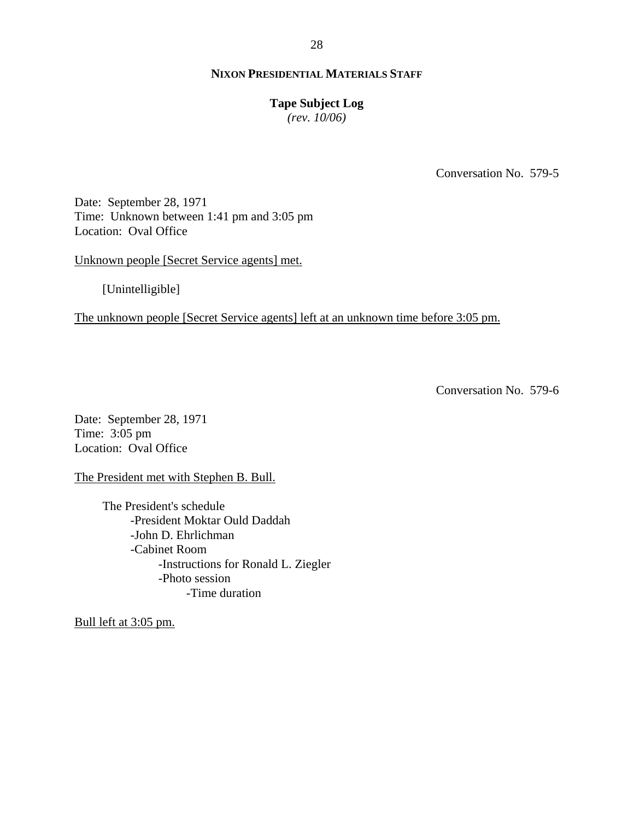#### **Tape Subject Log**

*(rev. 10/06)*

Conversation No. 579-5

Date: September 28, 1971 Time: Unknown between 1:41 pm and 3:05 pm Location: Oval Office

Unknown people [Secret Service agents] met.

[Unintelligible]

The unknown people [Secret Service agents] left at an unknown time before 3:05 pm.

Conversation No. 579-6

Date: September 28, 1971 Time: 3:05 pm Location: Oval Office

The President met with Stephen B. Bull.

The President's schedule -President Moktar Ould Daddah -John D. Ehrlichman -Cabinet Room -Instructions for Ronald L. Ziegler -Photo session -Time duration

Bull left at 3:05 pm.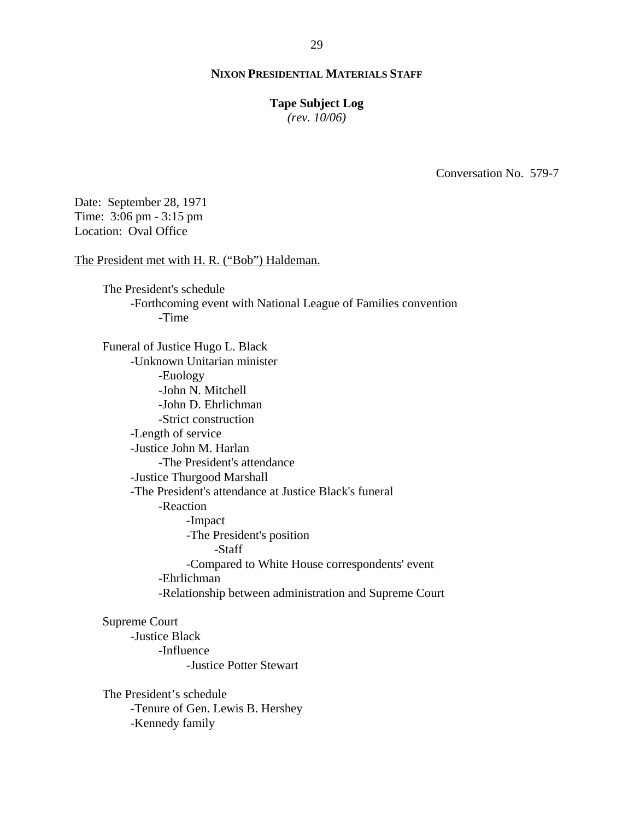## **Tape Subject Log**

*(rev. 10/06)*

Conversation No. 579-7

Date: September 28, 1971 Time: 3:06 pm - 3:15 pm Location: Oval Office

The President met with H. R. ("Bob") Haldeman.

The President's schedule -Forthcoming event with National League of Families convention -Time

Funeral of Justice Hugo L. Black -Unknown Unitarian minister -Euology -John N. Mitchell -John D. Ehrlichman -Strict construction -Length of service -Justice John M. Harlan -The President's attendance -Justice Thurgood Marshall -The President's attendance at Justice Black's funeral -Reaction -Impact -The President's position -Staff -Compared to White House correspondents' event -Ehrlichman -Relationship between administration and Supreme Court

Supreme Court

-Justice Black -Influence -Justice Potter Stewart

The President's schedule -Tenure of Gen. Lewis B. Hershey -Kennedy family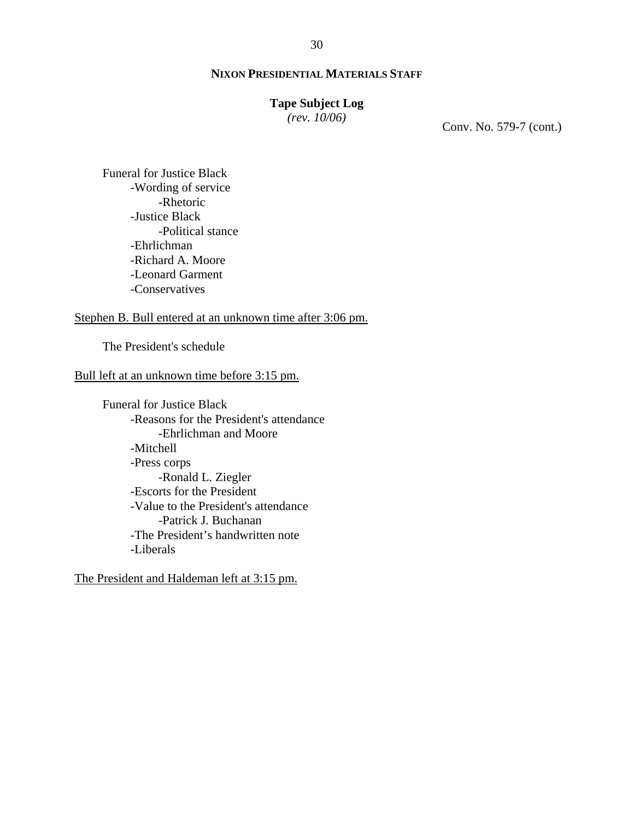## **Tape Subject Log**

*(rev. 10/06)*

Conv. No. 579-7 (cont.)

Funeral for Justice Black -Wording of service -Rhetoric -Justice Black -Political stance -Ehrlichman -Richard A. Moore -Leonard Garment -Conservatives

# Stephen B. Bull entered at an unknown time after 3:06 pm.

The President's schedule

# Bull left at an unknown time before 3:15 pm.

Funeral for Justice Black -Reasons for the President's attendance -Ehrlichman and Moore -Mitchell -Press corps -Ronald L. Ziegler -Escorts for the President -Value to the President's attendance -Patrick J. Buchanan -The President's handwritten note -Liberals

The President and Haldeman left at 3:15 pm.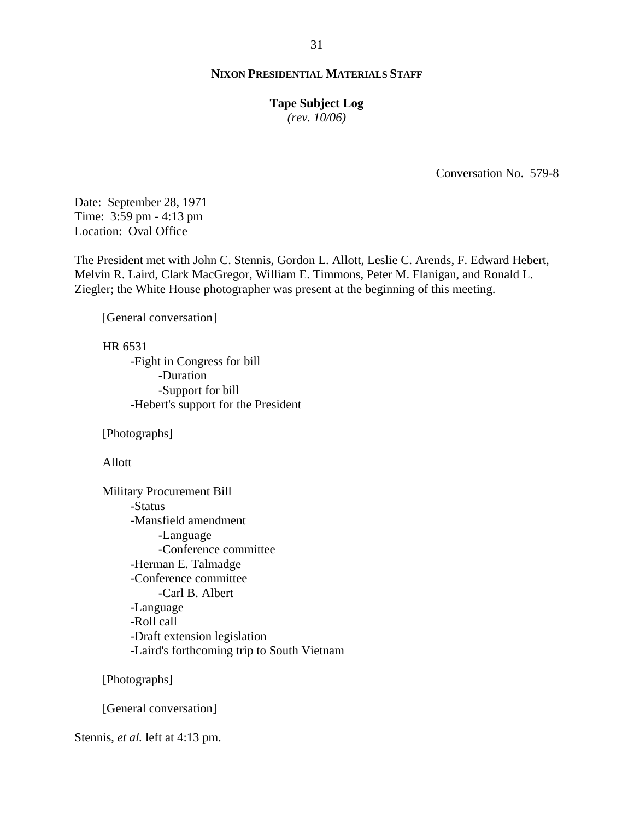#### **Tape Subject Log**

*(rev. 10/06)*

Conversation No. 579-8

Date: September 28, 1971 Time: 3:59 pm - 4:13 pm Location: Oval Office

The President met with John C. Stennis, Gordon L. Allott, Leslie C. Arends, F. Edward Hebert, Melvin R. Laird, Clark MacGregor, William E. Timmons, Peter M. Flanigan, and Ronald L. Ziegler; the White House photographer was present at the beginning of this meeting.

[General conversation]

HR 6531 -Fight in Congress for bill -Duration -Support for bill -Hebert's support for the President

[Photographs]

Allott

Military Procurement Bill -Status -Mansfield amendment -Language -Conference committee -Herman E. Talmadge -Conference committee -Carl B. Albert -Language -Roll call -Draft extension legislation -Laird's forthcoming trip to South Vietnam

[Photographs]

[General conversation]

Stennis, *et al.* left at 4:13 pm.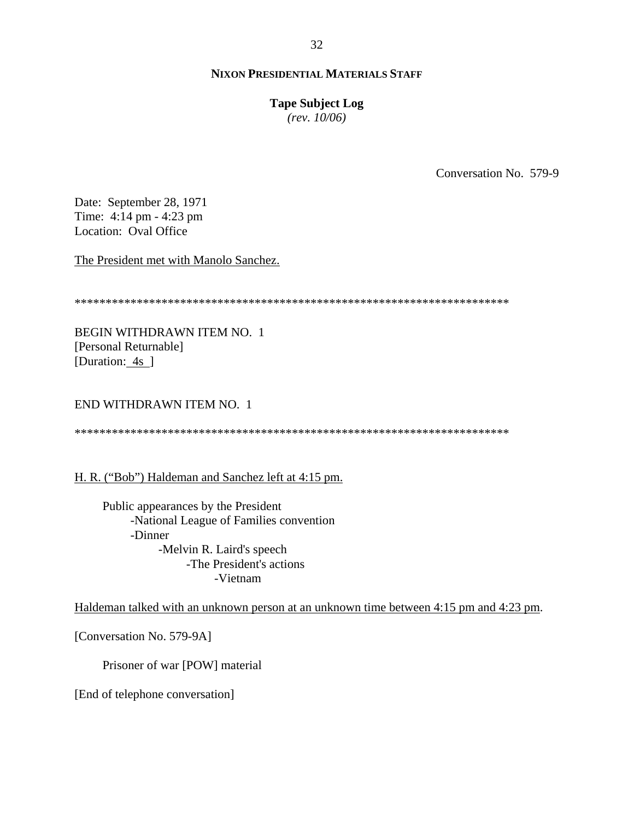# **Tape Subject Log**

*(rev. 10/06)*

Conversation No. 579-9

Date: September 28, 1971 Time: 4:14 pm - 4:23 pm Location: Oval Office

The President met with Manolo Sanchez.

\*\*\*\*\*\*\*\*\*\*\*\*\*\*\*\*\*\*\*\*\*\*\*\*\*\*\*\*\*\*\*\*\*\*\*\*\*\*\*\*\*\*\*\*\*\*\*\*\*\*\*\*\*\*\*\*\*\*\*\*\*\*\*\*\*\*\*\*\*\*

BEGIN WITHDRAWN ITEM NO. 1 [Personal Returnable] [Duration: 4s ]

END WITHDRAWN ITEM NO. 1

\*\*\*\*\*\*\*\*\*\*\*\*\*\*\*\*\*\*\*\*\*\*\*\*\*\*\*\*\*\*\*\*\*\*\*\*\*\*\*\*\*\*\*\*\*\*\*\*\*\*\*\*\*\*\*\*\*\*\*\*\*\*\*\*\*\*\*\*\*\*

H. R. ("Bob") Haldeman and Sanchez left at 4:15 pm.

Public appearances by the President -National League of Families convention -Dinner -Melvin R. Laird's speech -The President's actions -Vietnam

Haldeman talked with an unknown person at an unknown time between 4:15 pm and 4:23 pm.

[Conversation No. 579-9A]

Prisoner of war [POW] material

[End of telephone conversation]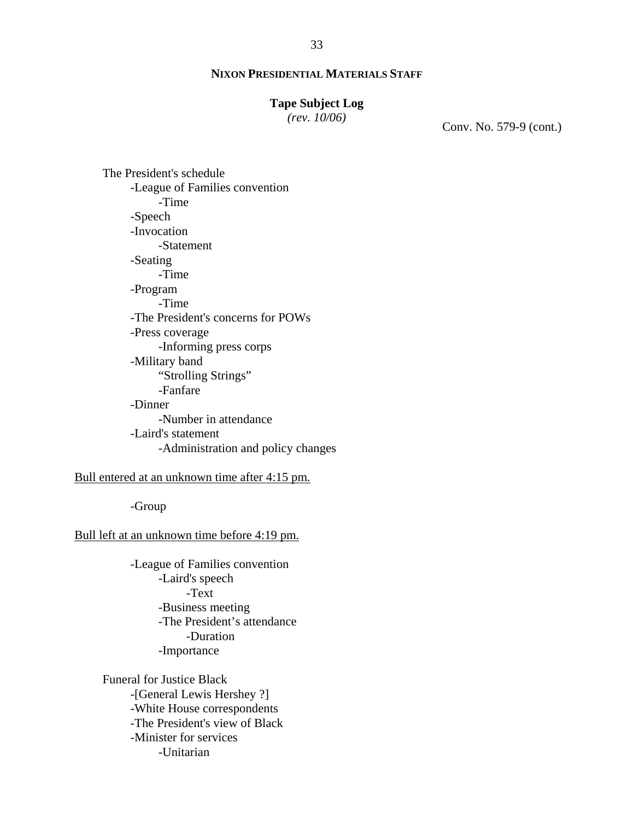# **Tape Subject Log**

*(rev. 10/06)*

Conv. No. 579-9 (cont.)

The President's schedule -League of Families convention -Time -Speech -Invocation -Statement -Seating -Time -Program -Time -The President's concerns for POWs -Press coverage -Informing press corps -Military band "Strolling Strings" -Fanfare -Dinner -Number in attendance -Laird's statement -Administration and policy changes

Bull entered at an unknown time after 4:15 pm.

-Group

Bull left at an unknown time before 4:19 pm.

-League of Families convention -Laird's speech -Text -Business meeting -The President's attendance -Duration -Importance

Funeral for Justice Black -[General Lewis Hershey ?] -White House correspondents -The President's view of Black -Minister for services -Unitarian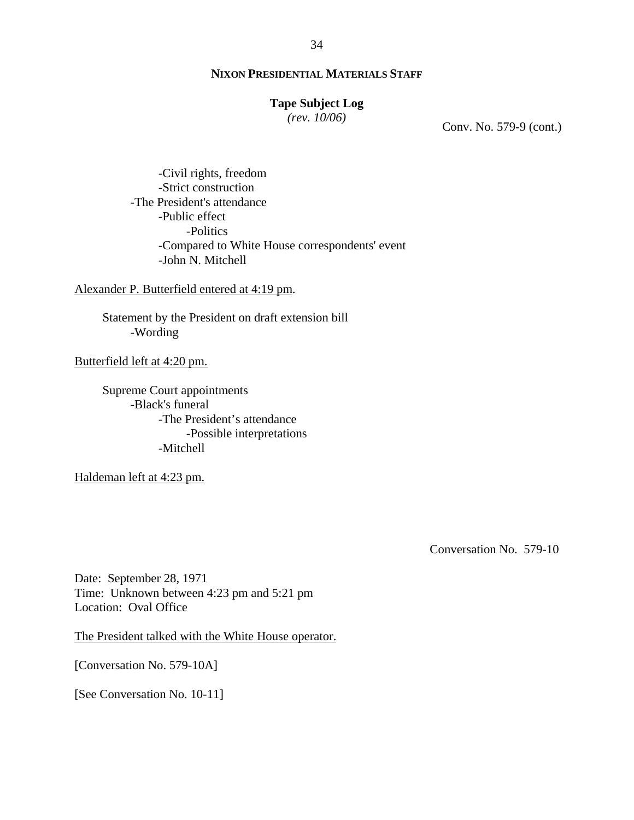# **Tape Subject Log**

*(rev. 10/06)*

Conv. No. 579-9 (cont.)

-Civil rights, freedom -Strict construction -The President's attendance -Public effect -Politics -Compared to White House correspondents' event -John N. Mitchell

Alexander P. Butterfield entered at 4:19 pm.

Statement by the President on draft extension bill -Wording

Butterfield left at 4:20 pm.

Supreme Court appointments -Black's funeral -The President's attendance -Possible interpretations -Mitchell

Haldeman left at 4:23 pm.

Conversation No. 579-10

Date: September 28, 1971 Time: Unknown between 4:23 pm and 5:21 pm Location: Oval Office

The President talked with the White House operator.

[Conversation No. 579-10A]

[See Conversation No. 10-11]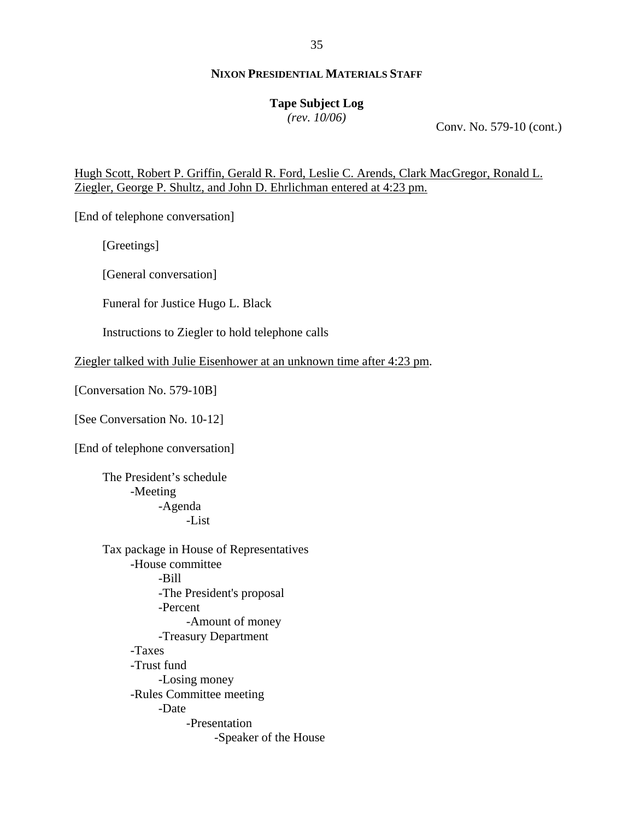# **Tape Subject Log**

*(rev. 10/06)*

Conv. No. 579-10 (cont.)

Hugh Scott, Robert P. Griffin, Gerald R. Ford, Leslie C. Arends, Clark MacGregor, Ronald L. Ziegler, George P. Shultz, and John D. Ehrlichman entered at 4:23 pm.

[End of telephone conversation]

[Greetings]

[General conversation]

Funeral for Justice Hugo L. Black

Instructions to Ziegler to hold telephone calls

Ziegler talked with Julie Eisenhower at an unknown time after 4:23 pm.

[Conversation No. 579-10B]

[See Conversation No. 10-12]

[End of telephone conversation]

 The President's schedule -Meeting -Agenda -List

Tax package in House of Representatives -House committee -Bill -The President's proposal -Percent -Amount of money -Treasury Department -Taxes -Trust fund -Losing money -Rules Committee meeting -Date -Presentation -Speaker of the House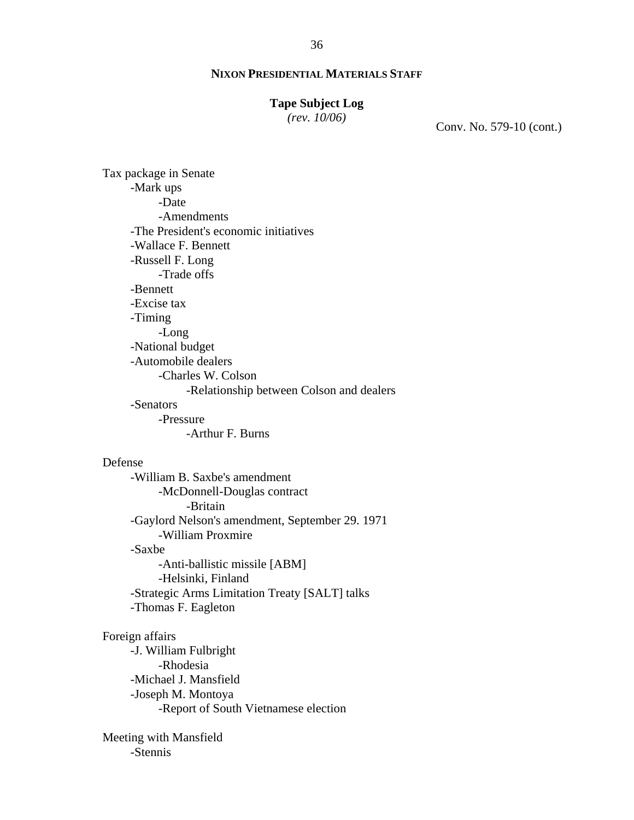#### **Tape Subject Log**

*(rev. 10/06)*

Conv. No. 579-10 (cont.)

Tax package in Senate -Mark ups -Date -Amendments -The President's economic initiatives -Wallace F. Bennett -Russell F. Long -Trade offs -Bennett -Excise tax -Timing -Long -National budget -Automobile dealers -Charles W. Colson -Relationship between Colson and dealers -Senators -Pressure -Arthur F. Burns

#### Defense

-William B. Saxbe's amendment -McDonnell-Douglas contract -Britain -Gaylord Nelson's amendment, September 29. 1971 -William Proxmire -Saxbe -Anti-ballistic missile [ABM] -Helsinki, Finland -Strategic Arms Limitation Treaty [SALT] talks -Thomas F. Eagleton

#### Foreign affairs

-J. William Fulbright -Rhodesia -Michael J. Mansfield -Joseph M. Montoya -Report of South Vietnamese election

Meeting with Mansfield -Stennis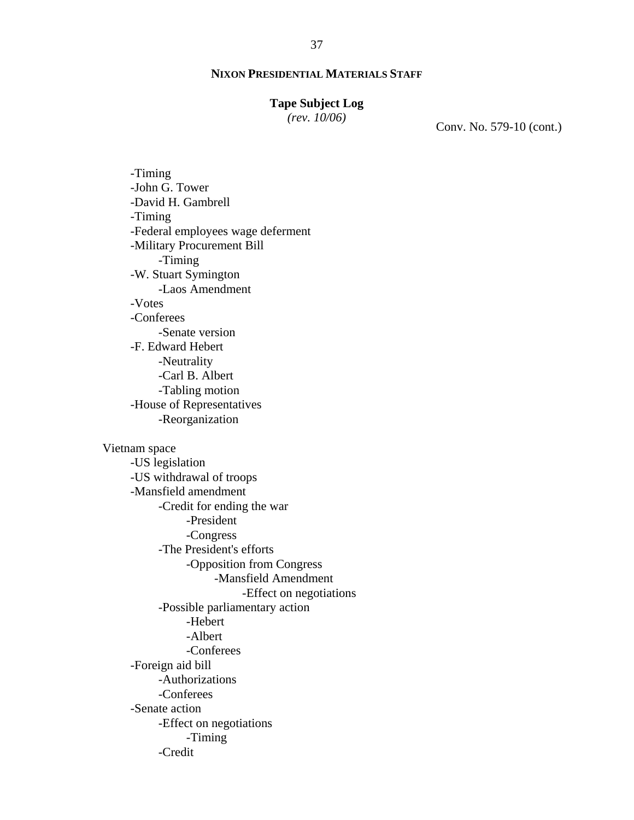# **Tape Subject Log**

*(rev. 10/06)*

Conv. No. 579-10 (cont.)

-Timing -John G. Tower -David H. Gambrell -Timing -Federal employees wage deferment -Military Procurement Bill -Timing -W. Stuart Symington -Laos Amendment -Votes -Conferees -Senate version -F. Edward Hebert -Neutrality -Carl B. Albert -Tabling motion -House of Representatives -Reorganization Vietnam space -US legislation -US withdrawal of troops -Mansfield amendment -Credit for ending the war -President

-Congress

-The President's efforts

-Opposition from Congress

-Mansfield Amendment

-Effect on negotiations

-Possible parliamentary action

-Hebert

-Albert

-Conferees

-Foreign aid bill

-Authorizations

-Conferees

-Senate action

-Effect on negotiations

-Timing

-Credit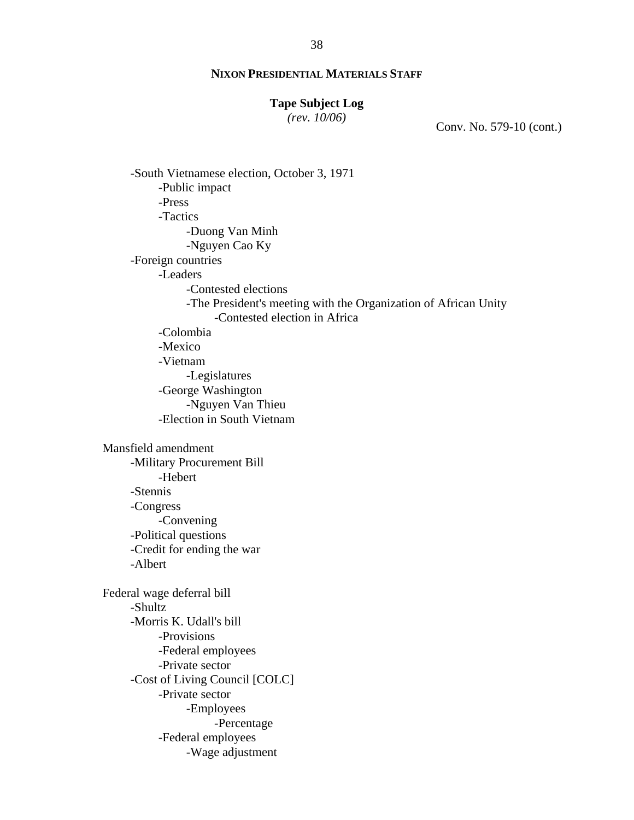# **Tape Subject Log**

*(rev. 10/06)*

Conv. No. 579-10 (cont.)

-South Vietnamese election, October 3, 1971 -Public impact -Press -Tactics -Duong Van Minh -Nguyen Cao Ky -Foreign countries -Leaders -Contested elections -The President's meeting with the Organization of African Unity -Contested election in Africa -Colombia -Mexico -Vietnam -Legislatures -George Washington -Nguyen Van Thieu -Election in South Vietnam Mansfield amendment -Military Procurement Bill -Hebert -Stennis -Congress -Convening -Political questions -Credit for ending the war -Albert Federal wage deferral bill -Shultz -Morris K. Udall's bill -Provisions -Federal employees -Private sector -Cost of Living Council [COLC] -Private sector -Employees -Percentage -Federal employees -Wage adjustment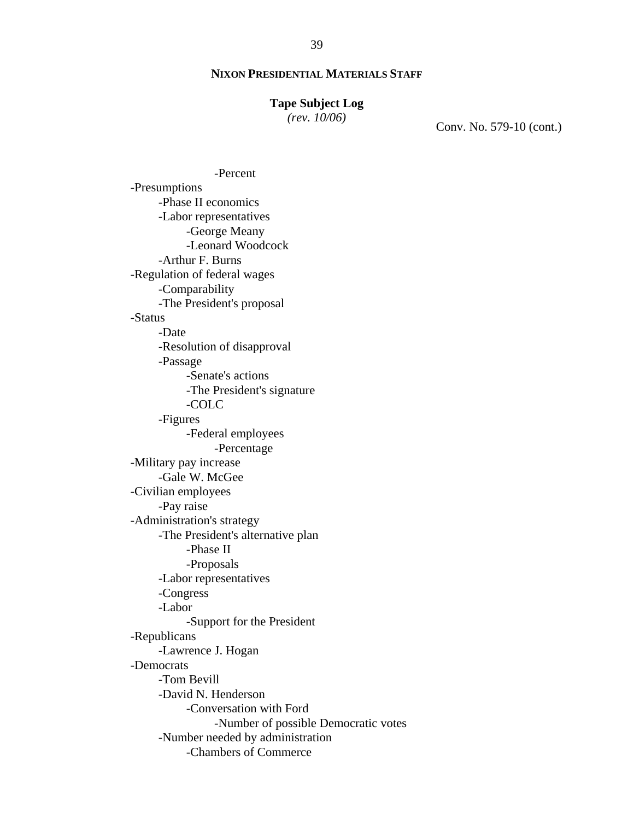## **Tape Subject Log**

*(rev. 10/06)*

Conv. No. 579-10 (cont.)

-Percent -Presumptions -Phase II economics -Labor representatives -George Meany -Leonard Woodcock -Arthur F. Burns -Regulation of federal wages -Comparability -The President's proposal -Status -Date -Resolution of disapproval -Passage -Senate's actions -The President's signature -COLC -Figures -Federal employees -Percentage -Military pay increase -Gale W. McGee -Civilian employees -Pay raise -Administration's strategy -The President's alternative plan -Phase II -Proposals -Labor representatives -Congress -Labor -Support for the President -Republicans -Lawrence J. Hogan -Democrats -Tom Bevill -David N. Henderson -Conversation with Ford -Number of possible Democratic votes -Number needed by administration -Chambers of Commerce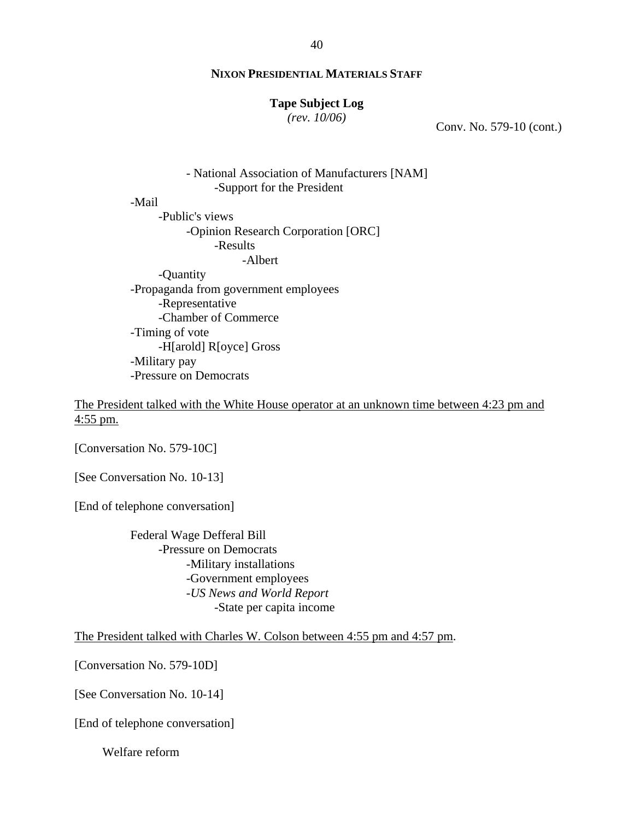#### **Tape Subject Log**

*(rev. 10/06)*

Conv. No. 579-10 (cont.)

- National Association of Manufacturers [NAM] -Support for the President -Mail -Public's views -Opinion Research Corporation [ORC] -Results -Albert -Quantity -Propaganda from government employees -Representative -Chamber of Commerce -Timing of vote -H[arold] R[oyce] Gross -Military pay -Pressure on Democrats

The President talked with the White House operator at an unknown time between 4:23 pm and 4:55 pm.

[Conversation No. 579-10C]

[See Conversation No. 10-13]

[End of telephone conversation]

Federal Wage Defferal Bill -Pressure on Democrats -Military installations -Government employees -*US News and World Report* -State per capita income

The President talked with Charles W. Colson between 4:55 pm and 4:57 pm.

[Conversation No. 579-10D]

[See Conversation No. 10-14]

[End of telephone conversation]

Welfare reform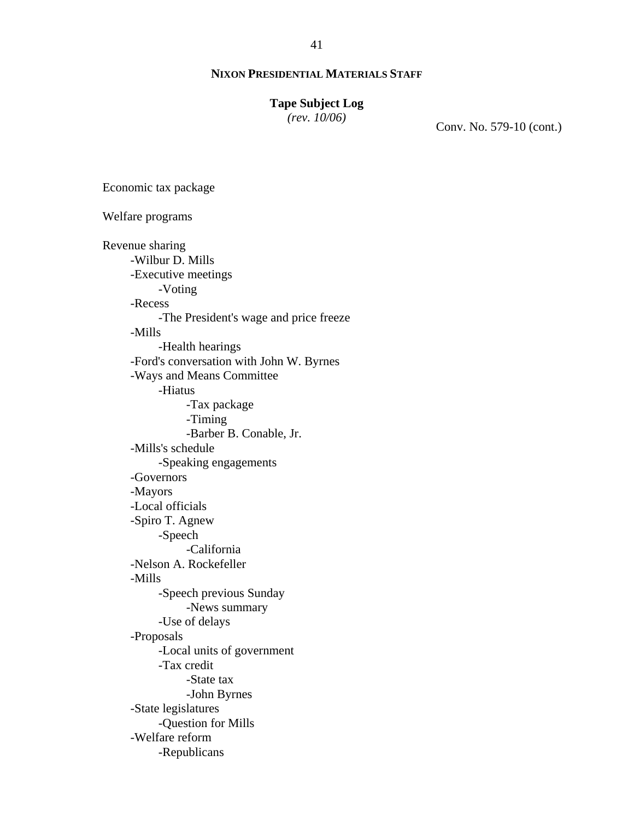# **Tape Subject Log**

*(rev. 10/06)*

Conv. No. 579-10 (cont.)

Economic tax package

Welfare programs Revenue sharing -Wilbur D. Mills -Executive meetings -Voting -Recess -The President's wage and price freeze -Mills -Health hearings -Ford's conversation with John W. Byrnes -Ways and Means Committee -Hiatus -Tax package -Timing -Barber B. Conable, Jr. -Mills's schedule -Speaking engagements -Governors -Mayors -Local officials -Spiro T. Agnew -Speech -California -Nelson A. Rockefeller -Mills -Speech previous Sunday -News summary -Use of delays -Proposals -Local units of government -Tax credit -State tax -John Byrnes -State legislatures -Question for Mills -Welfare reform -Republicans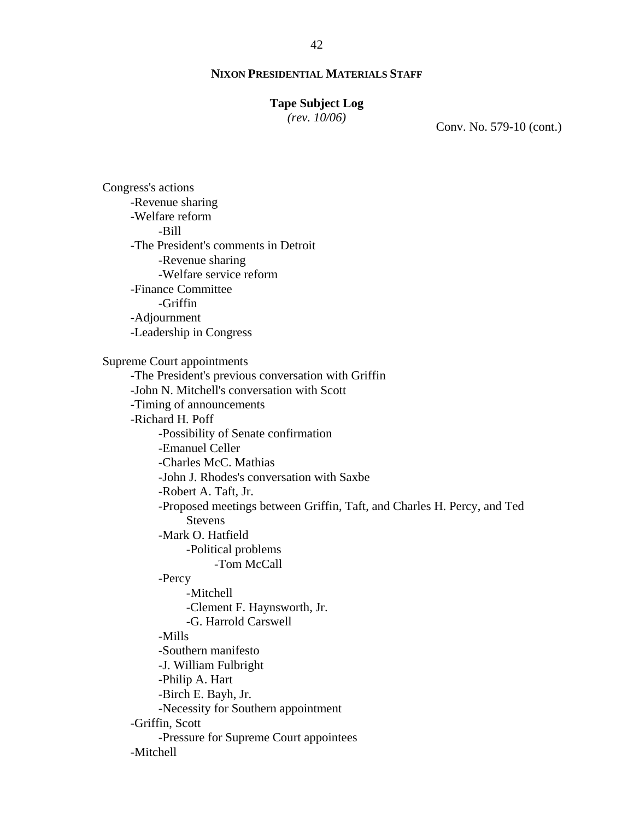#### **Tape Subject Log**

*(rev. 10/06)*

Conv. No. 579-10 (cont.)

Congress's actions -Revenue sharing -Welfare reform -Bill -The President's comments in Detroit -Revenue sharing -Welfare service reform -Finance Committee -Griffin -Adjournment -Leadership in Congress Supreme Court appointments -The President's previous conversation with Griffin -John N. Mitchell's conversation with Scott -Timing of announcements -Richard H. Poff -Possibility of Senate confirmation -Emanuel Celler -Charles McC. Mathias -John J. Rhodes's conversation with Saxbe -Robert A. Taft, Jr. -Proposed meetings between Griffin, Taft, and Charles H. Percy, and Ted Stevens -Mark O. Hatfield -Political problems -Tom McCall -Percy -Mitchell -Clement F. Haynsworth, Jr. -G. Harrold Carswell -Mills -Southern manifesto -J. William Fulbright -Philip A. Hart -Birch E. Bayh, Jr. -Necessity for Southern appointment -Griffin, Scott -Pressure for Supreme Court appointees -Mitchell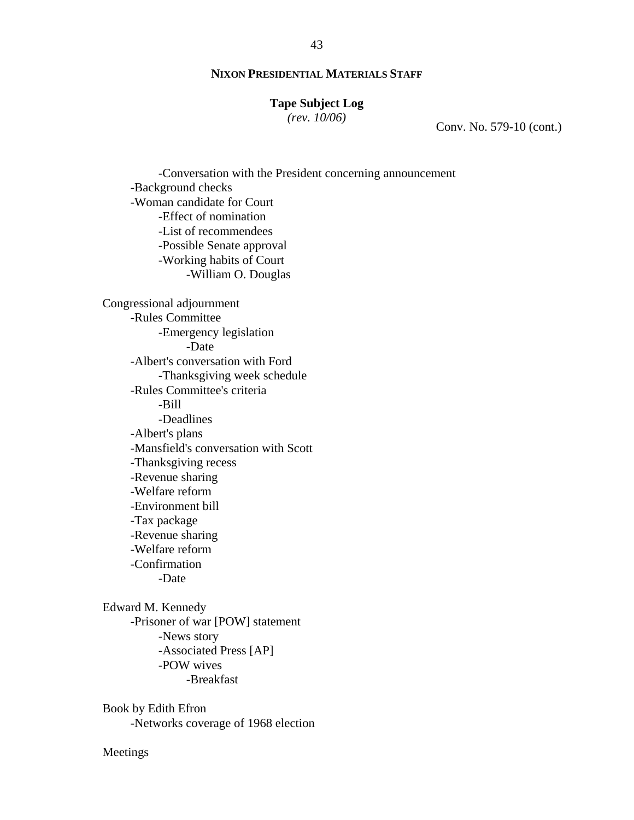#### **Tape Subject Log**

*(rev. 10/06)*

Conv. No. 579-10 (cont.)

-Conversation with the President concerning announcement -Background checks -Woman candidate for Court -Effect of nomination -List of recommendees -Possible Senate approval -Working habits of Court -William O. Douglas Congressional adjournment -Rules Committee -Emergency legislation -Date -Albert's conversation with Ford -Thanksgiving week schedule -Rules Committee's criteria -Bill -Deadlines -Albert's plans -Mansfield's conversation with Scott -Thanksgiving recess -Revenue sharing -Welfare reform -Environment bill -Tax package -Revenue sharing -Welfare reform -Confirmation -Date Edward M. Kennedy -Prisoner of war [POW] statement -News story -Associated Press [AP]

-POW wives

-Breakfast

Book by Edith Efron -Networks coverage of 1968 election

Meetings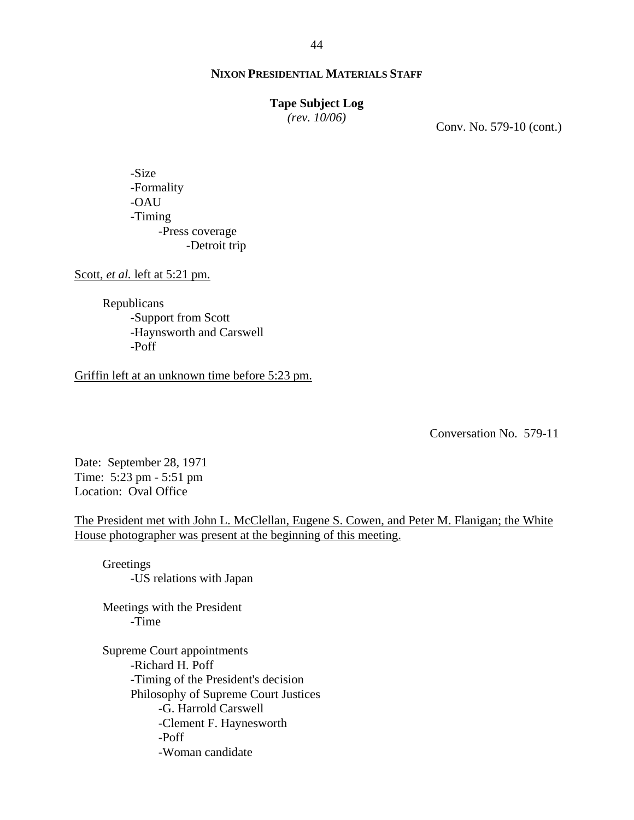#### **Tape Subject Log**

*(rev. 10/06)*

Conv. No. 579-10 (cont.)

-Size -Formality -OAU -Timing -Press coverage -Detroit trip

Scott, *et al.* left at 5:21 pm.

Republicans -Support from Scott -Haynsworth and Carswell -Poff

Griffin left at an unknown time before 5:23 pm.

Conversation No. 579-11

Date: September 28, 1971 Time: 5:23 pm - 5:51 pm Location: Oval Office

The President met with John L. McClellan, Eugene S. Cowen, and Peter M. Flanigan; the White House photographer was present at the beginning of this meeting.

Greetings -US relations with Japan

Meetings with the President -Time

Supreme Court appointments -Richard H. Poff -Timing of the President's decision Philosophy of Supreme Court Justices -G. Harrold Carswell -Clement F. Haynesworth -Poff -Woman candidate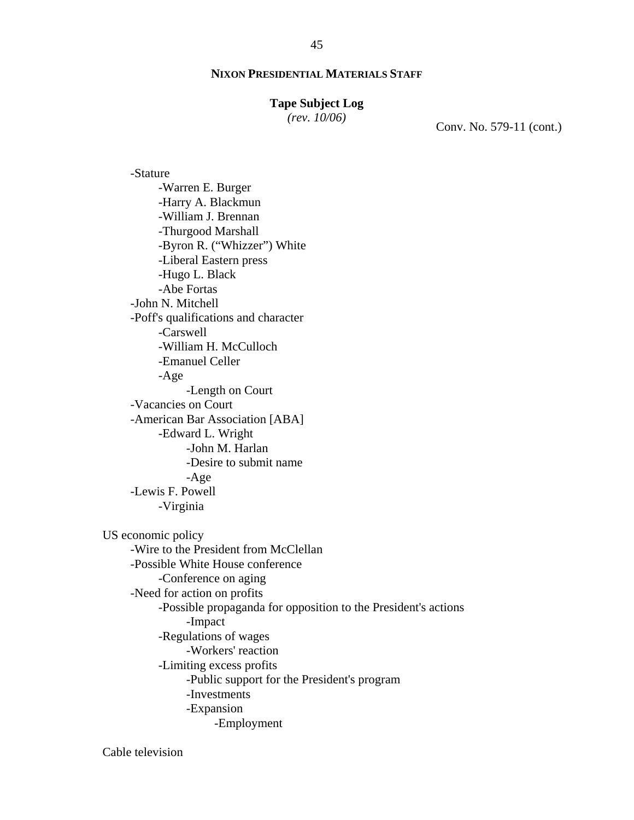#### **Tape Subject Log**

*(rev. 10/06)*

Conv. No. 579-11 (cont.)

-Stature -Warren E. Burger -Harry A. Blackmun -William J. Brennan -Thurgood Marshall -Byron R. ("Whizzer") White -Liberal Eastern press -Hugo L. Black -Abe Fortas -John N. Mitchell -Poff's qualifications and character -Carswell -William H. McCulloch -Emanuel Celler -Age -Length on Court -Vacancies on Court -American Bar Association [ABA] -Edward L. Wright -John M. Harlan -Desire to submit name -Age -Lewis F. Powell -Virginia US economic policy -Wire to the President from McClellan -Possible White House conference -Conference on aging -Need for action on profits -Possible propaganda for opposition to the President's actions -Impact -Regulations of wages -Workers' reaction -Limiting excess profits -Public support for the President's program -Investments -Expansion -Employment

Cable television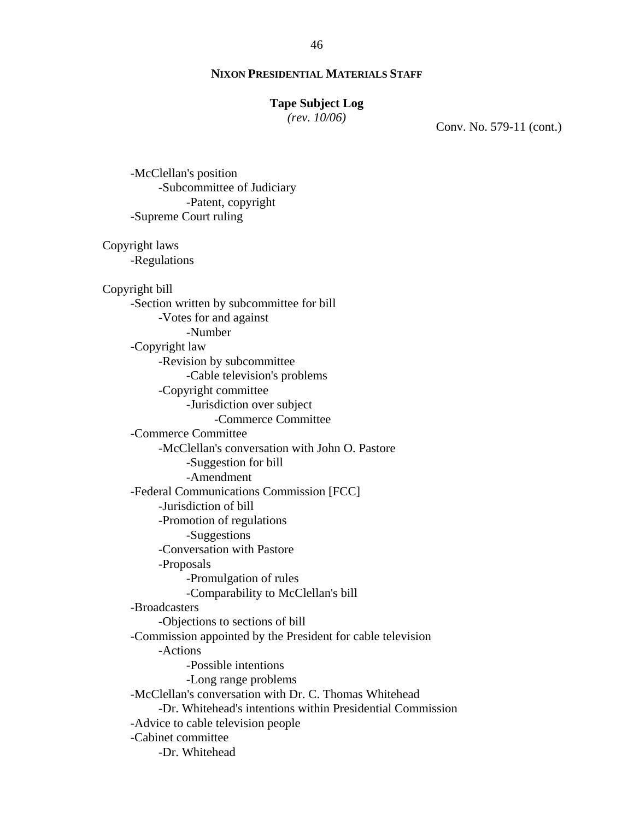#### **Tape Subject Log**

*(rev. 10/06)*

Conv. No. 579-11 (cont.)

-McClellan's position -Subcommittee of Judiciary -Patent, copyright -Supreme Court ruling Copyright laws -Regulations Copyright bill -Section written by subcommittee for bill -Votes for and against -Number -Copyright law -Revision by subcommittee -Cable television's problems -Copyright committee -Jurisdiction over subject -Commerce Committee -Commerce Committee -McClellan's conversation with John O. Pastore -Suggestion for bill -Amendment -Federal Communications Commission [FCC] -Jurisdiction of bill -Promotion of regulations -Suggestions -Conversation with Pastore -Proposals -Promulgation of rules -Comparability to McClellan's bill -Broadcasters -Objections to sections of bill -Commission appointed by the President for cable television -Actions -Possible intentions -Long range problems -McClellan's conversation with Dr. C. Thomas Whitehead -Dr. Whitehead's intentions within Presidential Commission -Advice to cable television people -Cabinet committee -Dr. Whitehead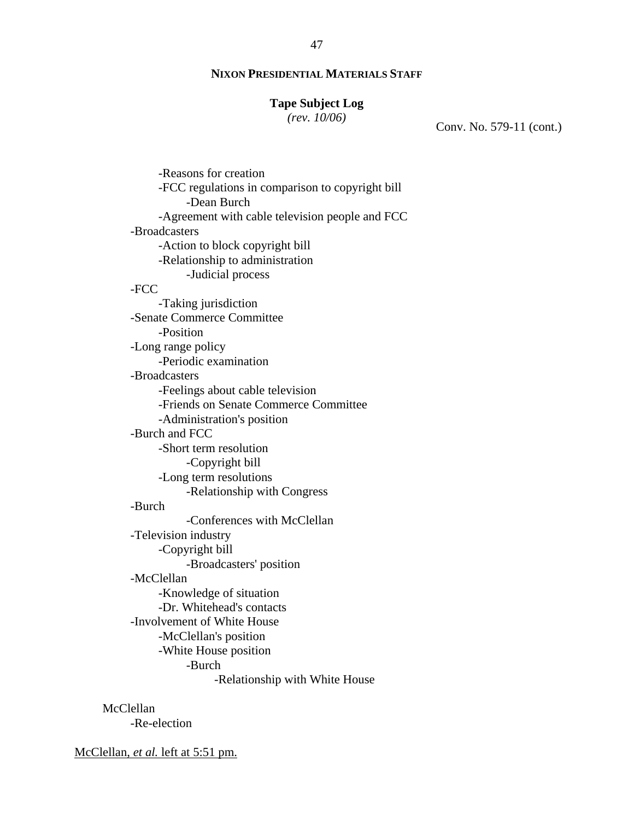#### **Tape Subject Log**

*(rev. 10/06)*

Conv. No. 579-11 (cont.)

-Reasons for creation -FCC regulations in comparison to copyright bill -Dean Burch -Agreement with cable television people and FCC -Broadcasters -Action to block copyright bill -Relationship to administration -Judicial process -FCC -Taking jurisdiction -Senate Commerce Committee -Position -Long range policy -Periodic examination -Broadcasters -Feelings about cable television -Friends on Senate Commerce Committee -Administration's position -Burch and FCC -Short term resolution -Copyright bill -Long term resolutions -Relationship with Congress -Burch -Conferences with McClellan -Television industry -Copyright bill -Broadcasters' position -McClellan -Knowledge of situation -Dr. Whitehead's contacts -Involvement of White House -McClellan's position -White House position -Burch -Relationship with White House

McClellan -Re-election

McClellan, *et al.* left at 5:51 pm.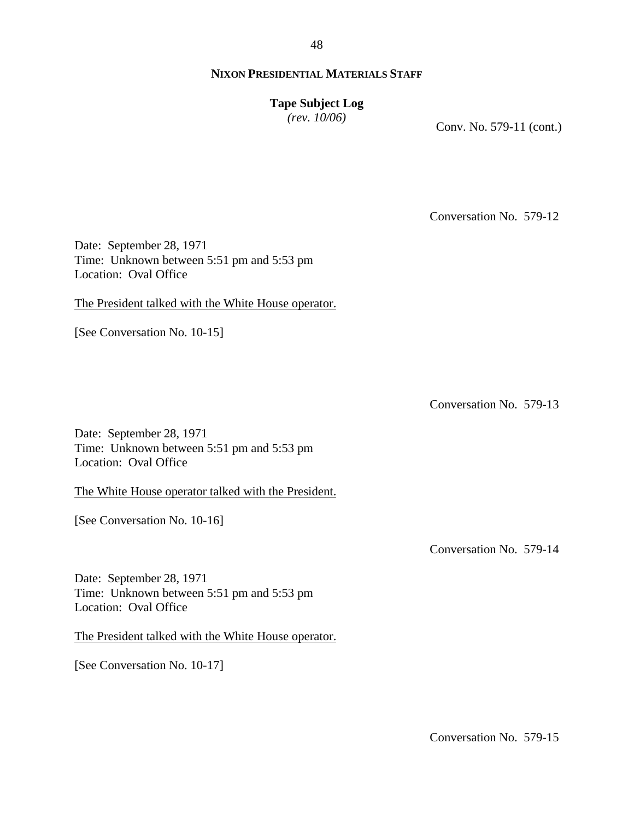48

# **NIXON PRESIDENTIAL MATERIALS STAFF**

**Tape Subject Log**

*(rev. 10/06)*

Conv. No. 579-11 (cont.)

Conversation No. 579-12

Date: September 28, 1971 Time: Unknown between 5:51 pm and 5:53 pm Location: Oval Office

The President talked with the White House operator.

[See Conversation No. 10-15]

Conversation No. 579-13

Date: September 28, 1971 Time: Unknown between 5:51 pm and 5:53 pm Location: Oval Office

The White House operator talked with the President.

[See Conversation No. 10-16]

Conversation No. 579-14

Date: September 28, 1971 Time: Unknown between 5:51 pm and 5:53 pm Location: Oval Office

The President talked with the White House operator.

[See Conversation No. 10-17]

Conversation No. 579-15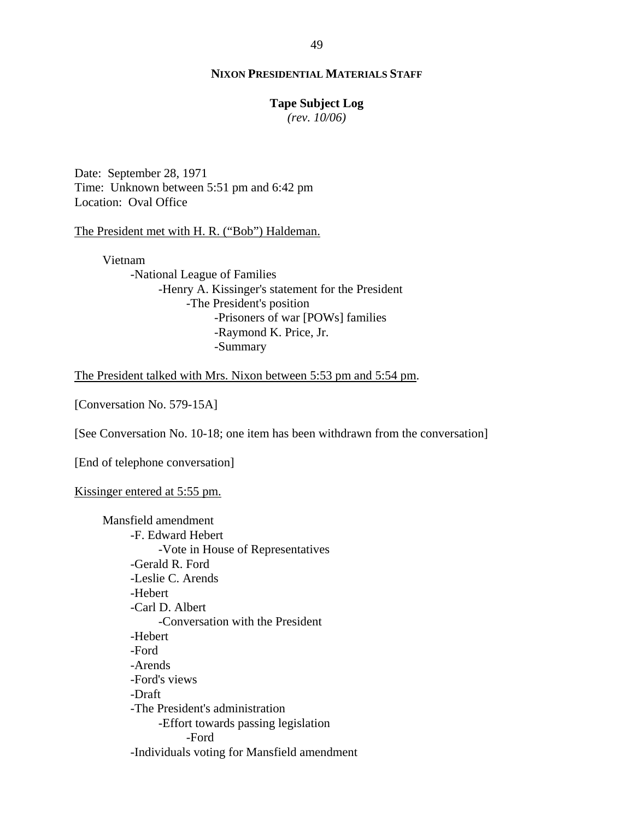#### **Tape Subject Log**

*(rev. 10/06)*

Date: September 28, 1971 Time: Unknown between 5:51 pm and 6:42 pm Location: Oval Office

The President met with H. R. ("Bob") Haldeman.

Vietnam -National League of Families -Henry A. Kissinger's statement for the President -The President's position -Prisoners of war [POWs] families -Raymond K. Price, Jr. -Summary

The President talked with Mrs. Nixon between 5:53 pm and 5:54 pm.

[Conversation No. 579-15A]

[See Conversation No. 10-18; one item has been withdrawn from the conversation]

[End of telephone conversation]

Kissinger entered at 5:55 pm.

Mansfield amendment -F. Edward Hebert -Vote in House of Representatives -Gerald R. Ford -Leslie C. Arends -Hebert -Carl D. Albert -Conversation with the President -Hebert -Ford -Arends -Ford's views -Draft -The President's administration -Effort towards passing legislation -Ford -Individuals voting for Mansfield amendment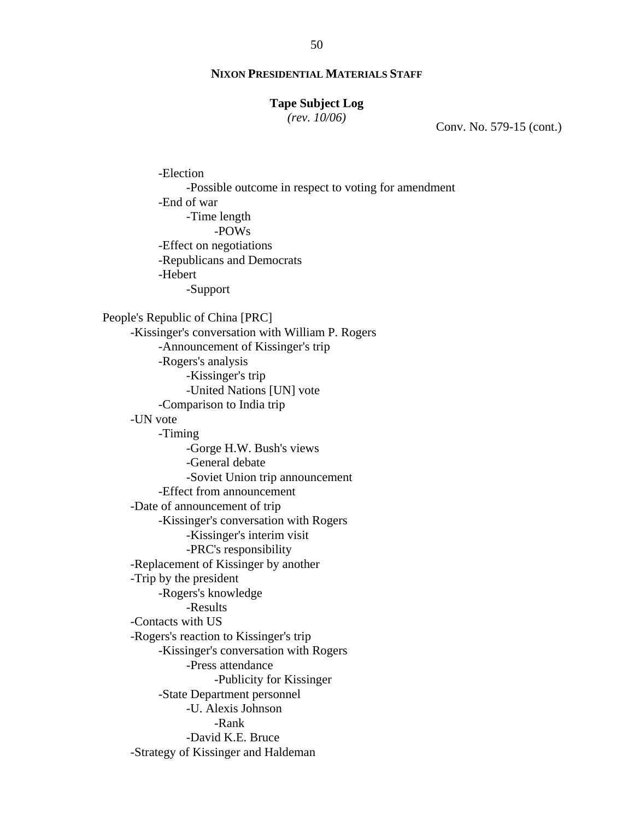#### **Tape Subject Log**

*(rev. 10/06)*

Conv. No. 579-15 (cont.)

-Election -Possible outcome in respect to voting for amendment -End of war -Time length -POWs -Effect on negotiations -Republicans and Democrats -Hebert -Support People's Republic of China [PRC] -Kissinger's conversation with William P. Rogers -Announcement of Kissinger's trip -Rogers's analysis -Kissinger's trip -United Nations [UN] vote -Comparison to India trip -UN vote -Timing -Gorge H.W. Bush's views -General debate -Soviet Union trip announcement -Effect from announcement -Date of announcement of trip -Kissinger's conversation with Rogers -Kissinger's interim visit -PRC's responsibility -Replacement of Kissinger by another -Trip by the president -Rogers's knowledge -Results -Contacts with US -Rogers's reaction to Kissinger's trip -Kissinger's conversation with Rogers -Press attendance -Publicity for Kissinger -State Department personnel -U. Alexis Johnson -Rank -David K.E. Bruce -Strategy of Kissinger and Haldeman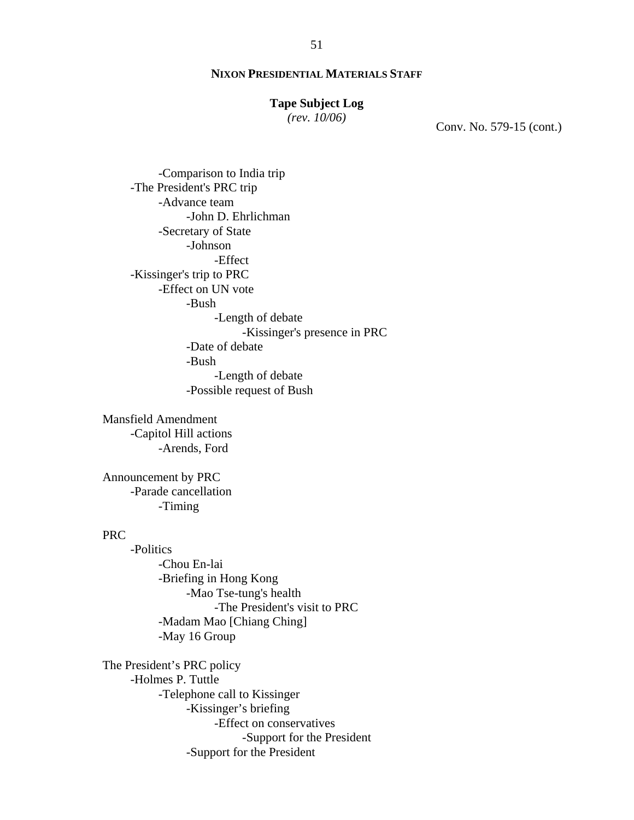# **Tape Subject Log**

*(rev. 10/06)*

Conv. No. 579-15 (cont.)

 -Comparison to India trip -The President's PRC trip -Advance team -John D. Ehrlichman -Secretary of State -Johnson -Effect -Kissinger's trip to PRC -Effect on UN vote -Bush -Length of debate -Kissinger's presence in PRC -Date of debate -Bush -Length of debate -Possible request of Bush

Mansfield Amendment -Capitol Hill actions -Arends, Ford

Announcement by PRC -Parade cancellation -Timing

# PRC

 -Politics -Chou En-lai -Briefing in Hong Kong -Mao Tse-tung's health -The President's visit to PRC -Madam Mao [Chiang Ching] -May 16 Group

The President's PRC policy -Holmes P. Tuttle -Telephone call to Kissinger -Kissinger's briefing -Effect on conservatives -Support for the President -Support for the President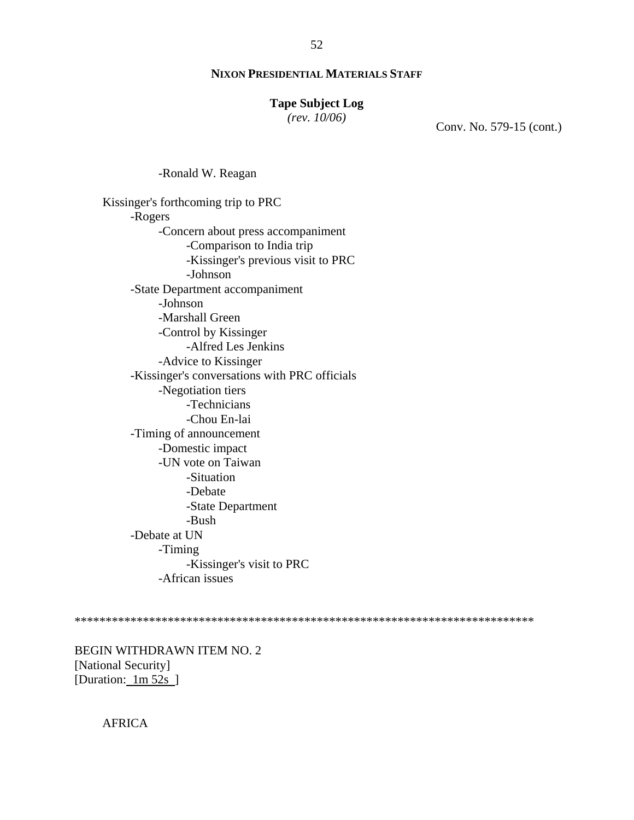# **Tape Subject Log**

*(rev. 10/06)*

Conv. No. 579-15 (cont.)

-Ronald W. Reagan

Kissinger's forthcoming trip to PRC -Rogers -Concern about press accompaniment -Comparison to India trip -Kissinger's previous visit to PRC -Johnson -State Department accompaniment -Johnson -Marshall Green -Control by Kissinger -Alfred Les Jenkins -Advice to Kissinger -Kissinger's conversations with PRC officials -Negotiation tiers -Technicians -Chou En-lai -Timing of announcement -Domestic impact -UN vote on Taiwan -Situation -Debate -State Department -Bush -Debate at UN -Timing -Kissinger's visit to PRC -African issues

\*\*\*\*\*\*\*\*\*\*\*\*\*\*\*\*\*\*\*\*\*\*\*\*\*\*\*\*\*\*\*\*\*\*\*\*\*\*\*\*\*\*\*\*\*\*\*\*\*\*\*\*\*\*\*\*\*\*\*\*\*\*\*\*\*\*\*\*\*\*\*\*\*\*

BEGIN WITHDRAWN ITEM NO. 2 [National Security] [Duration: 1m 52s ]

AFRICA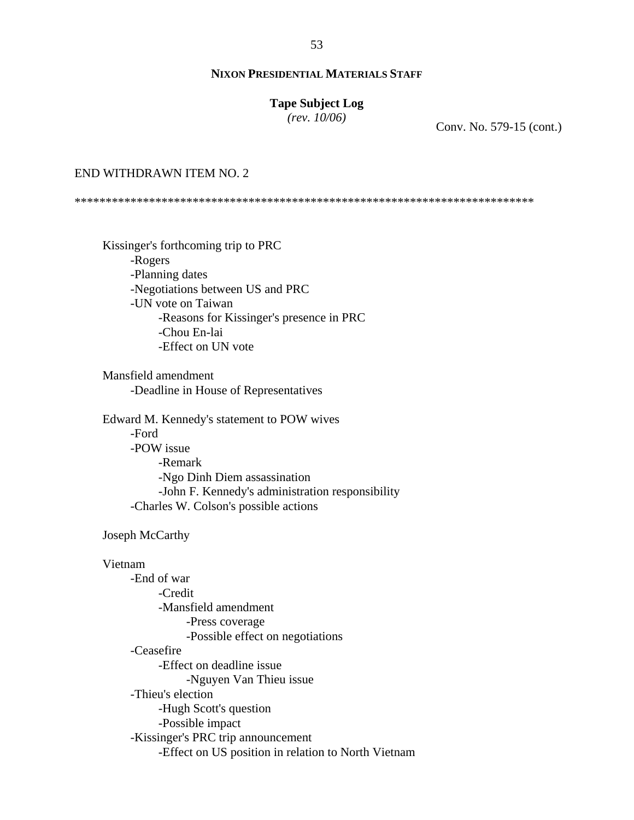# **Tape Subject Log**

*(rev. 10/06)*

Conv. No. 579-15 (cont.)

#### END WITHDRAWN ITEM NO. 2

\*\*\*\*\*\*\*\*\*\*\*\*\*\*\*\*\*\*\*\*\*\*\*\*\*\*\*\*\*\*\*\*\*\*\*\*\*\*\*\*\*\*\*\*\*\*\*\*\*\*\*\*\*\*\*\*\*\*\*\*\*\*\*\*\*\*\*\*\*\*\*\*\*\*

Kissinger's forthcoming trip to PRC -Rogers -Planning dates -Negotiations between US and PRC -UN vote on Taiwan -Reasons for Kissinger's presence in PRC -Chou En-lai -Effect on UN vote

Mansfield amendment -Deadline in House of Representatives

Edward M. Kennedy's statement to POW wives -Ford -POW issue -Remark -Ngo Dinh Diem assassination -John F. Kennedy's administration responsibility -Charles W. Colson's possible actions

#### Joseph McCarthy

#### Vietnam

-End of war -Credit -Mansfield amendment -Press coverage -Possible effect on negotiations -Ceasefire -Effect on deadline issue -Nguyen Van Thieu issue -Thieu's election -Hugh Scott's question -Possible impact -Kissinger's PRC trip announcement -Effect on US position in relation to North Vietnam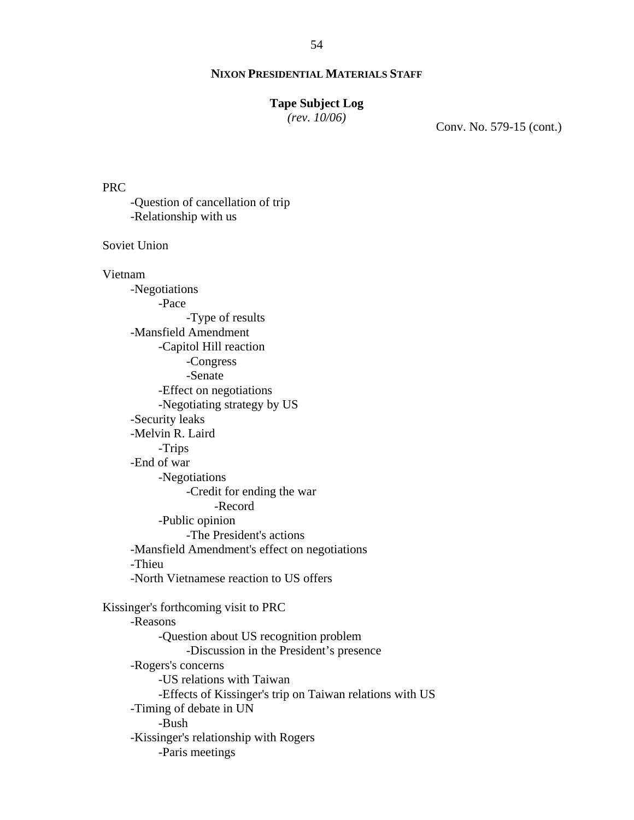#### **Tape Subject Log**

*(rev. 10/06)*

Conv. No. 579-15 (cont.)

PRC

-Question of cancellation of trip -Relationship with us

Soviet Union

#### Vietnam

-Negotiations -Pace -Type of results -Mansfield Amendment -Capitol Hill reaction -Congress -Senate -Effect on negotiations -Negotiating strategy by US -Security leaks -Melvin R. Laird -Trips -End of war -Negotiations -Credit for ending the war -Record -Public opinion -The President's actions -Mansfield Amendment's effect on negotiations -Thieu -North Vietnamese reaction to US offers Kissinger's forthcoming visit to PRC -Reasons -Question about US recognition problem -Discussion in the President's presence -Rogers's concerns -US relations with Taiwan -Effects of Kissinger's trip on Taiwan relations with US -Timing of debate in UN -Bush -Kissinger's relationship with Rogers -Paris meetings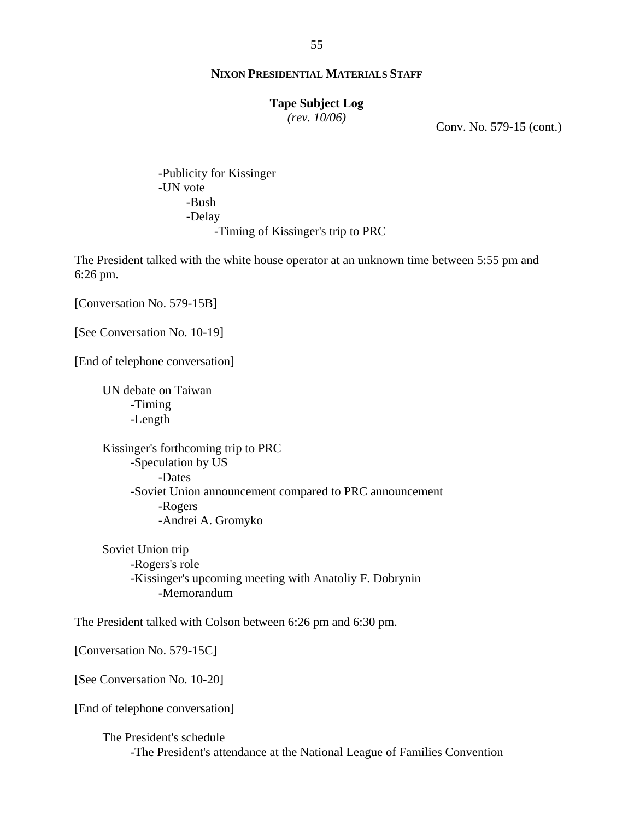#### **Tape Subject Log**

*(rev. 10/06)*

Conv. No. 579-15 (cont.)

-Publicity for Kissinger -UN vote -Bush -Delay -Timing of Kissinger's trip to PRC

The President talked with the white house operator at an unknown time between 5:55 pm and 6:26 pm.

[Conversation No. 579-15B]

[See Conversation No. 10-19]

[End of telephone conversation]

UN debate on Taiwan -Timing -Length

Kissinger's forthcoming trip to PRC -Speculation by US -Dates -Soviet Union announcement compared to PRC announcement -Rogers -Andrei A. Gromyko

Soviet Union trip -Rogers's role -Kissinger's upcoming meeting with Anatoliy F. Dobrynin -Memorandum

The President talked with Colson between 6:26 pm and 6:30 pm.

[Conversation No. 579-15C]

[See Conversation No. 10-20]

[End of telephone conversation]

The President's schedule -The President's attendance at the National League of Families Convention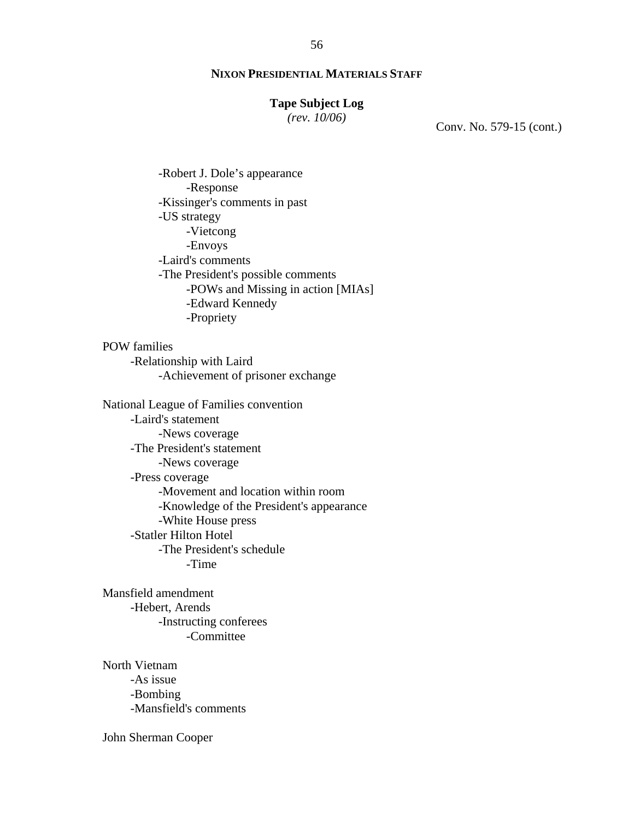# **Tape Subject Log**

*(rev. 10/06)*

Conv. No. 579-15 (cont.)

-Robert J. Dole's appearance -Response -Kissinger's comments in past -US strategy -Vietcong -Envoys -Laird's comments -The President's possible comments -POWs and Missing in action [MIAs] -Edward Kennedy -Propriety

POW families -Relationship with Laird -Achievement of prisoner exchange

National League of Families convention -Laird's statement -News coverage -The President's statement -News coverage -Press coverage -Movement and location within room -Knowledge of the President's appearance -White House press -Statler Hilton Hotel -The President's schedule -Time

Mansfield amendment -Hebert, Arends -Instructing conferees -Committee

North Vietnam -As issue -Bombing -Mansfield's comments

John Sherman Cooper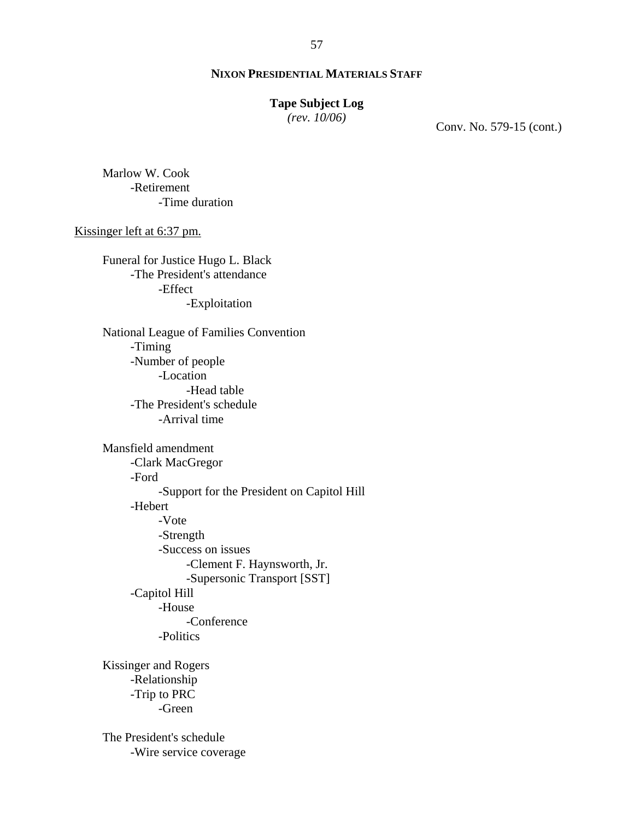# **Tape Subject Log**

*(rev. 10/06)*

Conv. No. 579-15 (cont.)

Marlow W. Cook -Retirement -Time duration

Kissinger left at 6:37 pm.

Funeral for Justice Hugo L. Black -The President's attendance -Effect -Exploitation

National League of Families Convention -Timing -Number of people -Location -Head table -The President's schedule -Arrival time

Mansfield amendment -Clark MacGregor -Ford -Support for the President on Capitol Hill -Hebert -Vote -Strength -Success on issues -Clement F. Haynsworth, Jr. -Supersonic Transport [SST] -Capitol Hill -House -Conference -Politics

Kissinger and Rogers -Relationship -Trip to PRC -Green

The President's schedule -Wire service coverage